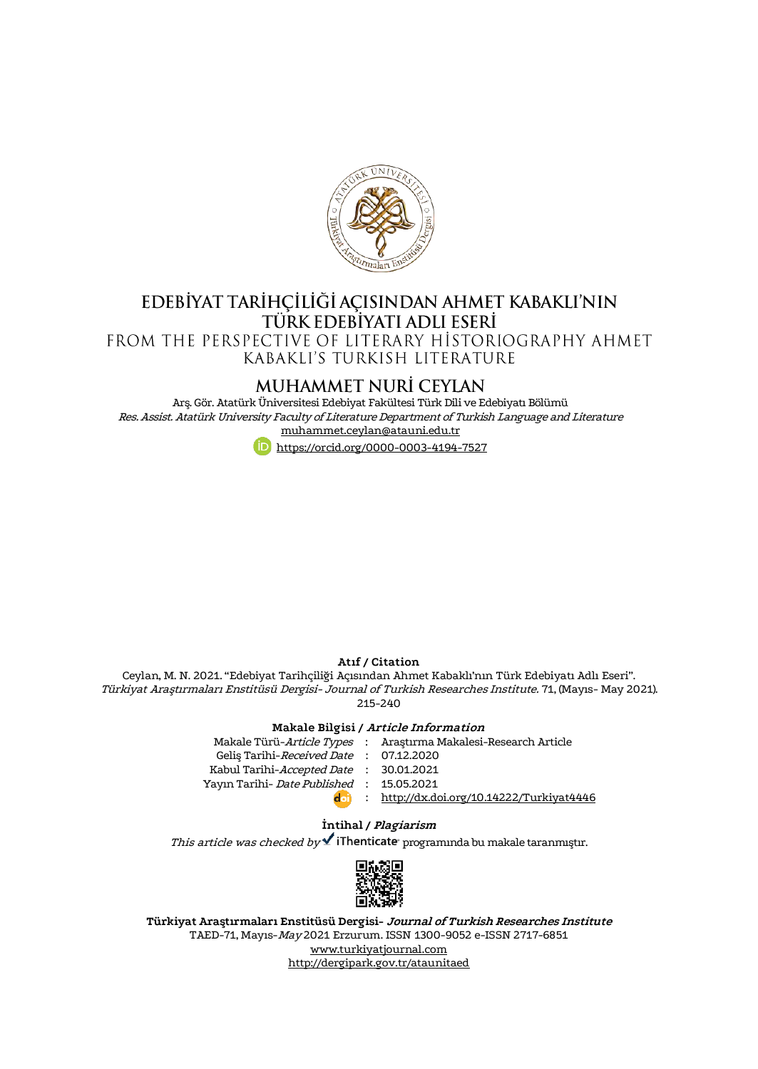

# EDEBİYAT TARİHÇİLİĞİ AÇISINDAN AHMET KABAKLI'NIN TÜRK EDEBIYATI ADLI ESERİ

FROM THE PERSPECTIVE OF LITERARY HISTORIOGRAPHY AHMET

KABAKLI'S TURKISH LITERATURE

# MUHAMMET NURİ CEYLAN

Arş. Gör. Atatürk Üniversitesi Edebiyat Fakültesi Türk Dili ve Edebiyatı Bölümü Res. Assist. Atatürk University Faculty of Literature Department of Turkish Language and Literature [muhammet.ceylan@atauni.edu.tr](mailto:muhammet.ceylan@atauni.edu.tr)



**Atıf / Citation**

Ceylan, M. N. 2021. "Edebiyat Tarihçiliği Açısından Ahmet Kabaklı'nın Türk Edebiyatı Adlı Eseri". Türkiyat Araştırmaları Enstitüsü Dergisi- Journal of Turkish Researches Institute. 71, (Mayıs- May 2021). 215-240

### **Makale Bilgisi / Article Information**

|                                          | Makale Türü- <i>Article Types</i> : Arastırma Makalesi-Research Article |
|------------------------------------------|-------------------------------------------------------------------------|
| Gelis Tarihi-Received Date: 07.12.2020   |                                                                         |
| Kabul Tarihi-Accepted Date : 30.01.2021  |                                                                         |
| Yayın Tarihi- Date Published: 15.05.2021 |                                                                         |
| doil                                     | : http://dx.doi.org/10.14222/Turkiyat4446                               |
|                                          |                                                                         |

### **İntihal / Plagiarism**

This article was checked by  $\blacktriangle$  iThenticate programında bu makale taranmıştır.



**Türkiyat Araştırmaları Enstitüsü Dergisi- Journal of Turkish Researches Institute** TAED-71, Mayıs-May 2021 Erzurum. ISSN 1300-9052 e-ISSN 2717-6851 [www.turkiyatjournal.com](http://www.turkiyatjournal.com/) <http://dergipark.gov.tr/ataunitaed>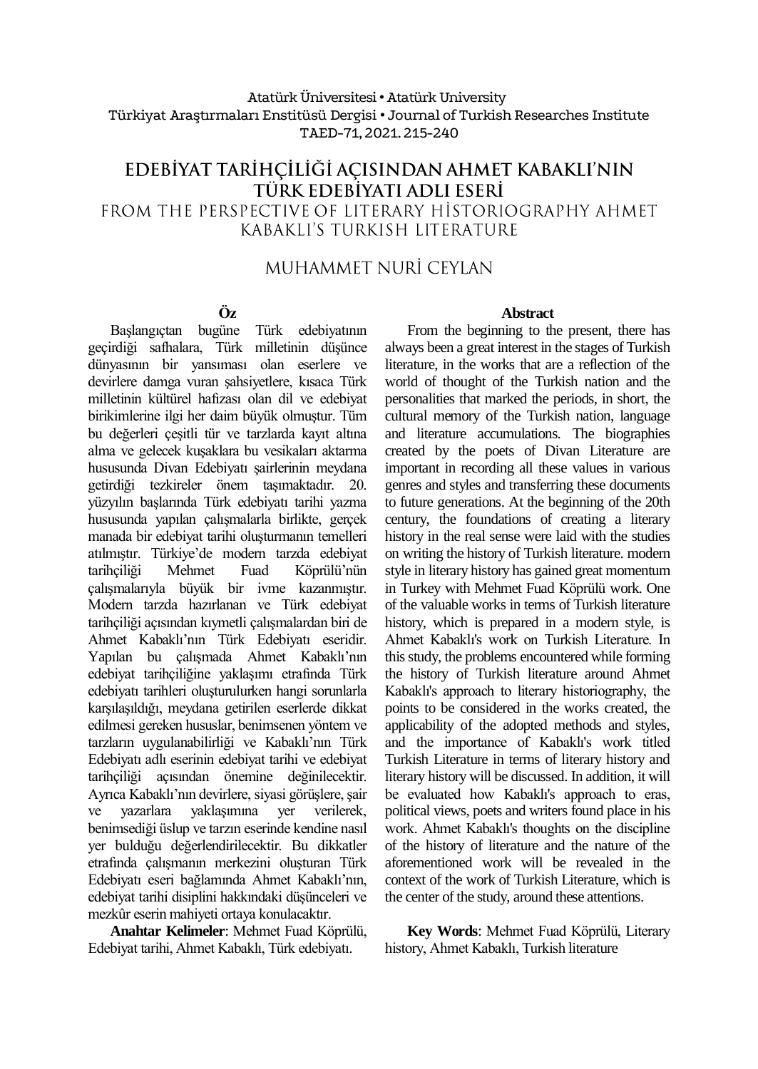### Atatürk Üniversitesi• Atatürk University Türkiyat Araştırmaları Enstitüsü Dergisi • Journal of Turkish Researches Institute TAED-71, 2021.215-240

# EDEBİYAT TARİHÇİLİĞİ AÇISINDAN AHMET KABAKLI'NIN TÜRK EDEBİYATI ADLI ESERİ FROM THE PERSPECTIVE OF LITERARY HISTORIOGRAPHY AHMET KABAKLI'S TURKISH LITERATURE

# MUHAMMET NURİ CEYLAN

# **Öz**

Başlangıçtan bugüne Türk edebiyatının geçirdiği safhalara, Türk milletinin düşünce dünyasının bir yansıması olan eserlere ve devirlere damga vuran şahsiyetlere, kısaca Türk milletinin kültürel hafızası olan dil ve edebiyat birikimlerine ilgi her daim büyük olmuştur. Tüm bu değerleri çeşitli tür ve tarzlarda kayıt altına alma ve gelecek kuşaklara bu vesikaları aktarma hususunda Divan Edebiyatı şairlerinin meydana getirdiği tezkireler önem taşımaktadır. 20. yüzyılın başlarında Türk edebiyatı tarihi yazma hususunda yapılan çalışmalarla birlikte, gerçek manada bir edebiyat tarihi oluşturmanın temelleri atılmıştır. Türkiye'de modern tarzda edebiyat tarihçiliği Mehmet Fuad Köprülü'nün çalışmalarıyla büyük bir ivme kazanmıştır. Modern tarzda hazırlanan ve Türk edebiyat tarihçiliği açısından kıymetli çalışmalardan biri de Ahmet Kabaklı'nın Türk Edebiyatı eseridir. Yapılan bu çalışmada Ahmet Kabaklı'nın edebiyat tarihçiliğine yaklaşımı etrafında Türk edebiyatı tarihleri oluşturulurken hangi sorunlarla karşılaşıldığı, meydana getirilen eserlerde dikkat edilmesi gereken hususlar, benimsenen yöntem ve tarzların uygulanabilirliği ve Kabaklı'nın Türk Edebiyatı adlı eserinin edebiyat tarihi ve edebiyat tarihçiliği açısından önemine değinilecektir. Ayrıca Kabaklı'nın devirlere, siyasi görüşlere, şair ve yazarlara yaklaşımına yer verilerek, benimsediği üslup ve tarzın eserinde kendine nasıl yer bulduğu değerlendirilecektir. Bu dikkatler etrafında çalışmanın merkezini oluşturan Türk Edebiyatı eseri bağlamında Ahmet Kabaklı'nın, edebiyat tarihi disiplini hakkındaki düşünceleri ve mezkûr eserin mahiyeti ortaya konulacaktır.

**Anahtar Kelimeler**: Mehmet Fuad Köprülü, Edebiyat tarihi, Ahmet Kabaklı, Türk edebiyatı.

#### **Abstract**

From the beginning to the present, there has always been a great interest in the stages of Turkish literature, in the works that are a reflection of the world of thought of the Turkish nation and the personalities that marked the periods, in short, the cultural memory of the Turkish nation, language and literature accumulations. The biographies created by the poets of Divan Literature are important in recording all these values in various genres and styles and transferring these documents to future generations. At the beginning of the 20th century, the foundations of creating a literary history in the real sense were laid with the studies on writing the history of Turkish literature. modern style in literary history has gained great momentum in Turkey with Mehmet Fuad Köprülü work. One of the valuable works in terms of Turkish literature history, which is prepared in a modern style, is Ahmet Kabaklı's work on Turkish Literature. In this study, the problems encountered while forming the history of Turkish literature around Ahmet Kabaklı's approach to literary historiography, the points to be considered in the works created, the applicability of the adopted methods and styles, and the importance of Kabaklı's work titled Turkish Literature in terms of literary history and literary history will be discussed. In addition, it will be evaluated how Kabaklı's approach to eras, political views, poets and writers found place in his work. Ahmet Kabaklı's thoughts on the discipline of the history of literature and the nature of the aforementioned work will be revealed in the context of the work of Turkish Literature, which is the center of the study, around these attentions.

**Key Words**: Mehmet Fuad Köprülü, Literary history, Ahmet Kabaklı, Turkish literature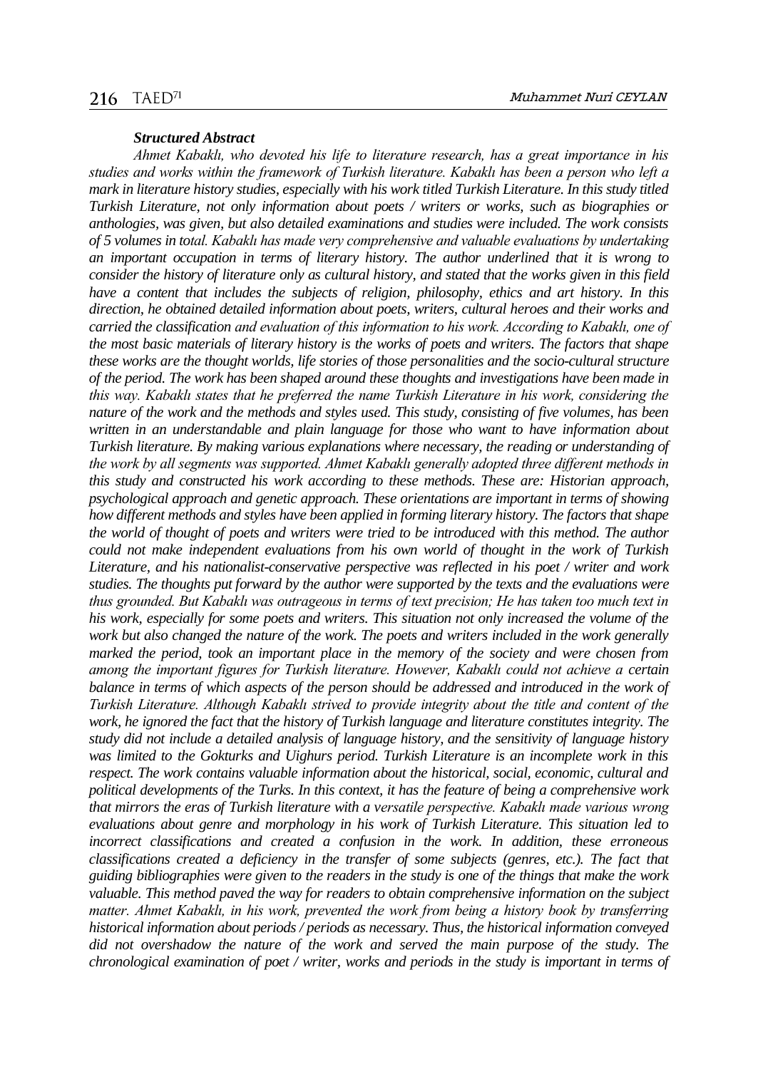#### *Structured Abstract*

*Ahmet Kabaklı, who devoted his life to literature research, has a great importance in his studies and works within the framework of Turkish literature. Kabaklı has been a person who left a mark in literature history studies, especially with his work titled Turkish Literature. In this study titled Turkish Literature, not only information about poets / writers or works, such as biographies or anthologies, was given, but also detailed examinations and studies were included. The work consists of 5 volumes in total. Kabaklı has made very comprehensive and valuable evaluations by undertaking an important occupation in terms of literary history. The author underlined that it is wrong to consider the history of literature only as cultural history, and stated that the works given in this field have a content that includes the subjects of religion, philosophy, ethics and art history. In this direction, he obtained detailed information about poets, writers, cultural heroes and their works and carried the classification and evaluation of this information to his work. According to Kabaklı, one of the most basic materials of literary history is the works of poets and writers. The factors that shape these works are the thought worlds, life stories of those personalities and the socio-cultural structure of the period. The work has been shaped around these thoughts and investigations have been made in this way. Kabaklı states that he preferred the name Turkish Literature in his work, considering the nature of the work and the methods and styles used. This study, consisting of five volumes, has been written in an understandable and plain language for those who want to have information about Turkish literature. By making various explanations where necessary, the reading or understanding of the work by all segments was supported. Ahmet Kabaklı generally adopted three different methods in this study and constructed his work according to these methods. These are: Historian approach, psychological approach and genetic approach. These orientations are important in terms of showing how different methods and styles have been applied in forming literary history. The factors that shape the world of thought of poets and writers were tried to be introduced with this method. The author could not make independent evaluations from his own world of thought in the work of Turkish Literature, and his nationalist-conservative perspective was reflected in his poet / writer and work studies. The thoughts put forward by the author were supported by the texts and the evaluations were thus grounded. But Kabaklı was outrageous in terms of text precision; He has taken too much text in his work, especially for some poets and writers. This situation not only increased the volume of the work but also changed the nature of the work. The poets and writers included in the work generally marked the period, took an important place in the memory of the society and were chosen from among the important figures for Turkish literature. However, Kabaklı could not achieve a certain*  balance in terms of which aspects of the person should be addressed and introduced in the work of *Turkish Literature. Although Kabaklı strived to provide integrity about the title and content of the work, he ignored the fact that the history of Turkish language and literature constitutes integrity. The study did not include a detailed analysis of language history, and the sensitivity of language history was limited to the Gokturks and Uighurs period. Turkish Literature is an incomplete work in this respect. The work contains valuable information about the historical, social, economic, cultural and political developments of the Turks. In this context, it has the feature of being a comprehensive work that mirrors the eras of Turkish literature with a versatile perspective. Kabaklı made various wrong evaluations about genre and morphology in his work of Turkish Literature. This situation led to incorrect classifications and created a confusion in the work. In addition, these erroneous classifications created a deficiency in the transfer of some subjects (genres, etc.). The fact that guiding bibliographies were given to the readers in the study is one of the things that make the work valuable. This method paved the way for readers to obtain comprehensive information on the subject matter. Ahmet Kabaklı, in his work, prevented the work from being a history book by transferring historical information about periods / periods as necessary. Thus, the historical information conveyed did not overshadow the nature of the work and served the main purpose of the study. The chronological examination of poet / writer, works and periods in the study is important in terms of*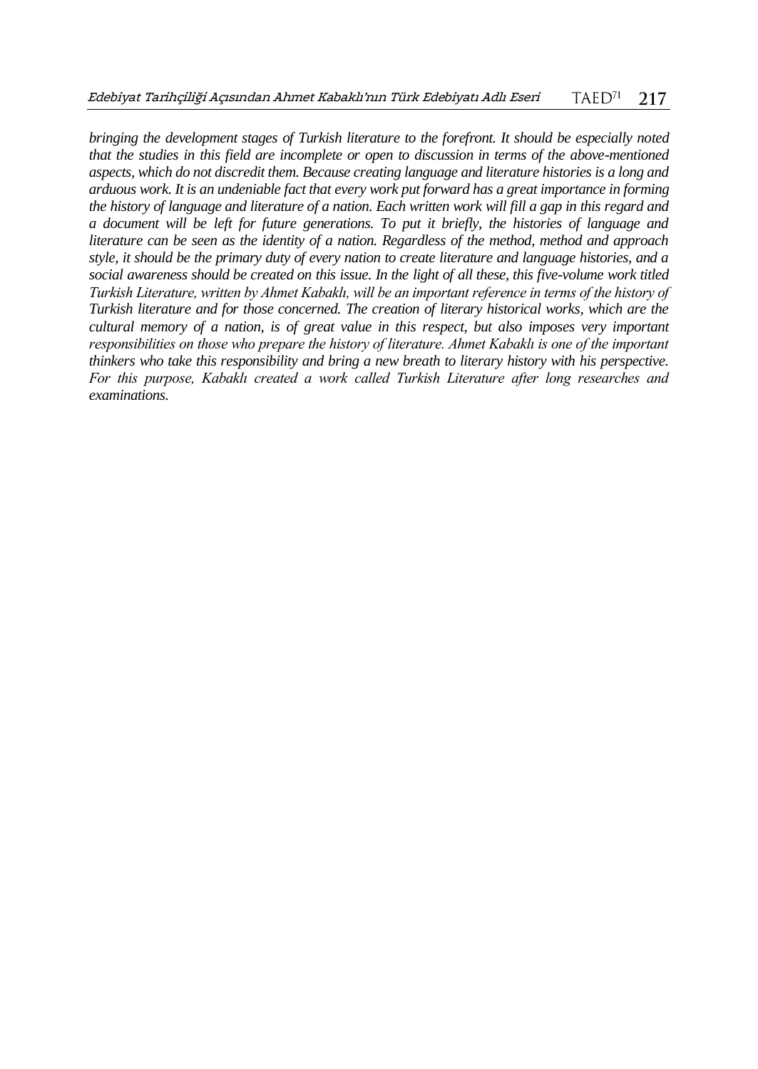*bringing the development stages of Turkish literature to the forefront. It should be especially noted that the studies in this field are incomplete or open to discussion in terms of the above-mentioned aspects, which do not discredit them. Because creating language and literature histories is a long and arduous work. It is an undeniable fact that every work put forward has a great importance in forming the history of language and literature of a nation. Each written work will fill a gap in this regard and a document will be left for future generations. To put it briefly, the histories of language and literature can be seen as the identity of a nation. Regardless of the method, method and approach style, it should be the primary duty of every nation to create literature and language histories, and a social awareness should be created on this issue. In the light of all these, this five-volume work titled Turkish Literature, written by Ahmet Kabaklı, will be an important reference in terms of the history of Turkish literature and for those concerned. The creation of literary historical works, which are the cultural memory of a nation, is of great value in this respect, but also imposes very important responsibilities on those who prepare the history of literature. Ahmet Kabaklı is one of the important thinkers who take this responsibility and bring a new breath to literary history with his perspective. For this purpose, Kabaklı created a work called Turkish Literature after long researches and examinations.*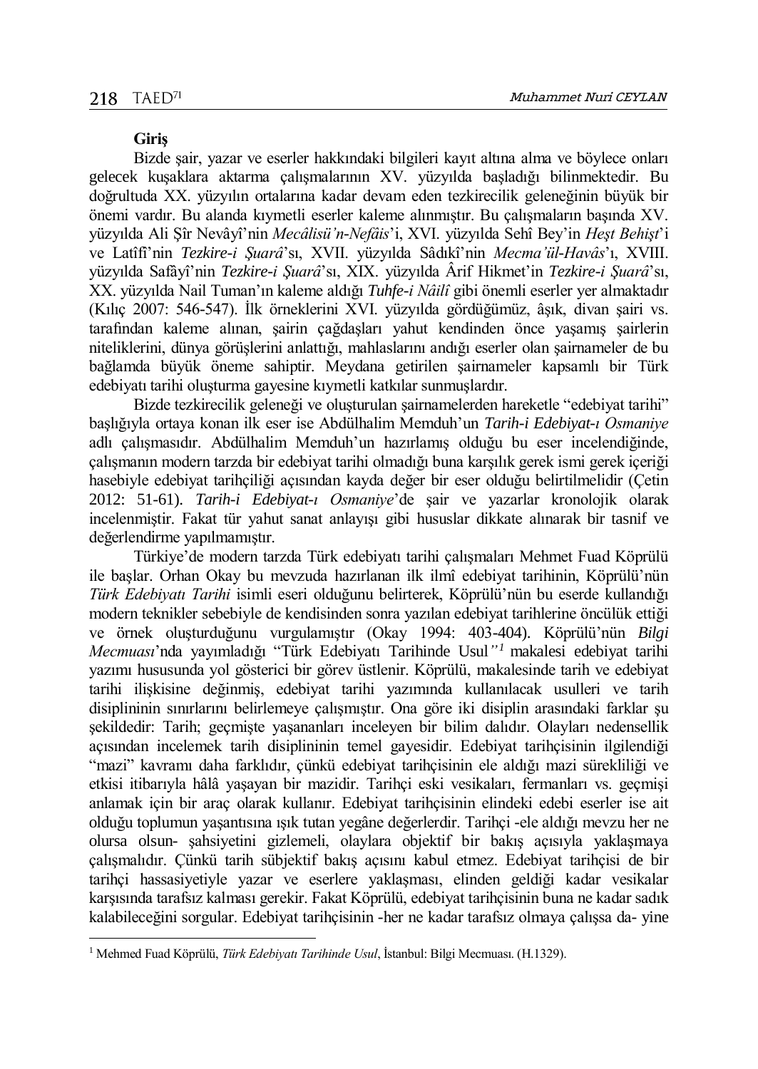$\overline{a}$ 

### **Giriş**

Bizde şair, yazar ve eserler hakkındaki bilgileri kayıt altına alma ve böylece onları gelecek kuşaklara aktarma çalışmalarının XV. yüzyılda başladığı bilinmektedir. Bu doğrultuda XX. yüzyılın ortalarına kadar devam eden tezkirecilik geleneğinin büyük bir önemi vardır. Bu alanda kıymetli eserler kaleme alınmıştır. Bu çalışmaların başında XV. yüzyılda Ali Şîr Nevâyî'nin *Mecâlisü'n-Nefâis*'i, XVI. yüzyılda Sehî Bey'in *Heşt Behişt*'i ve Latîfî'nin *Tezkire-i Şuarâ*'sı, XVII. yüzyılda Sâdıkî'nin *Mecma'ül-Havâs*'ı, XVIII. yüzyılda Safâyî'nin *Tezkire-i Şuarâ*'sı, XIX. yüzyılda Ârif Hikmet'in *Tezkire-i Şuarâ*'sı, XX. yüzyılda Nail Tuman'ın kaleme aldığı *Tuhfe-i Nâilî* gibi önemli eserler yer almaktadır (Kılıç 2007: 546-547). İlk örneklerini XVI. yüzyılda gördüğümüz, âşık, divan şairi vs. tarafından kaleme alınan, şairin çağdaşları yahut kendinden önce yaşamış şairlerin niteliklerini, dünya görüşlerini anlattığı, mahlaslarını andığı eserler olan şairnameler de bu bağlamda büyük öneme sahiptir. Meydana getirilen şairnameler kapsamlı bir Türk edebiyatı tarihi oluşturma gayesine kıymetli katkılar sunmuşlardır.

Bizde tezkirecilik geleneği ve oluşturulan şairnamelerden hareketle "edebiyat tarihi" başlığıyla ortaya konan ilk eser ise Abdülhalim Memduh'un *Tarih-i Edebiyat-ı Osmaniye*  adlı çalışmasıdır. Abdülhalim Memduh'un hazırlamış olduğu bu eser incelendiğinde, çalışmanın modern tarzda bir edebiyat tarihi olmadığı buna karşılık gerek ismi gerek içeriği hasebiyle edebiyat tarihçiliği açısından kayda değer bir eser olduğu belirtilmelidir (Çetin 2012: 51-61). *Tarih-i Edebiyat-ı Osmaniye*'de şair ve yazarlar kronolojik olarak incelenmiştir. Fakat tür yahut sanat anlayışı gibi hususlar dikkate alınarak bir tasnif ve değerlendirme yapılmamıştır.

Türkiye'de modern tarzda Türk edebiyatı tarihi çalışmaları Mehmet Fuad Köprülü ile başlar. Orhan Okay bu mevzuda hazırlanan ilk ilmî edebiyat tarihinin, Köprülü'nün *Türk Edebiyatı Tarihi* isimli eseri olduğunu belirterek, Köprülü'nün bu eserde kullandığı modern teknikler sebebiyle de kendisinden sonra yazılan edebiyat tarihlerine öncülük ettiği ve örnek oluşturduğunu vurgulamıştır (Okay 1994: 403-404). Köprülü'nün *Bilgi Mecmuası*'nda yayımladığı "Türk Edebiyatı Tarihinde Usul*" <sup>1</sup>* makalesi edebiyat tarihi yazımı hususunda yol gösterici bir görev üstlenir. Köprülü, makalesinde tarih ve edebiyat tarihi ilişkisine değinmiş, edebiyat tarihi yazımında kullanılacak usulleri ve tarih disiplininin sınırlarını belirlemeye çalışmıştır. Ona göre iki disiplin arasındaki farklar şu şekildedir: Tarih; geçmişte yaşananları inceleyen bir bilim dalıdır. Olayları nedensellik açısından incelemek tarih disiplininin temel gayesidir. Edebiyat tarihçisinin ilgilendiği "mazi" kavramı daha farklıdır, çünkü edebiyat tarihçisinin ele aldığı mazi sürekliliği ve etkisi itibarıyla hâlâ yaşayan bir mazidir. Tarihçi eski vesikaları, fermanları vs. geçmişi anlamak için bir araç olarak kullanır. Edebiyat tarihçisinin elindeki edebi eserler ise ait olduğu toplumun yaşantısına ışık tutan yegâne değerlerdir. Tarihçi -ele aldığı mevzu her ne olursa olsun- şahsiyetini gizlemeli, olaylara objektif bir bakış açısıyla yaklaşmaya çalışmalıdır. Çünkü tarih sübjektif bakış açısını kabul etmez. Edebiyat tarihçisi de bir tarihçi hassasiyetiyle yazar ve eserlere yaklaşması, elinden geldiği kadar vesikalar karşısında tarafsız kalması gerekir. Fakat Köprülü, edebiyat tarihçisinin buna ne kadar sadık kalabileceğini sorgular. Edebiyat tarihçisinin -her ne kadar tarafsız olmaya çalışsa da- yine

<sup>1</sup> Mehmed Fuad Köprülü, *Türk Edebiyatı Tarihinde Usul*, İstanbul: Bilgi Mecmuası. (H.1329).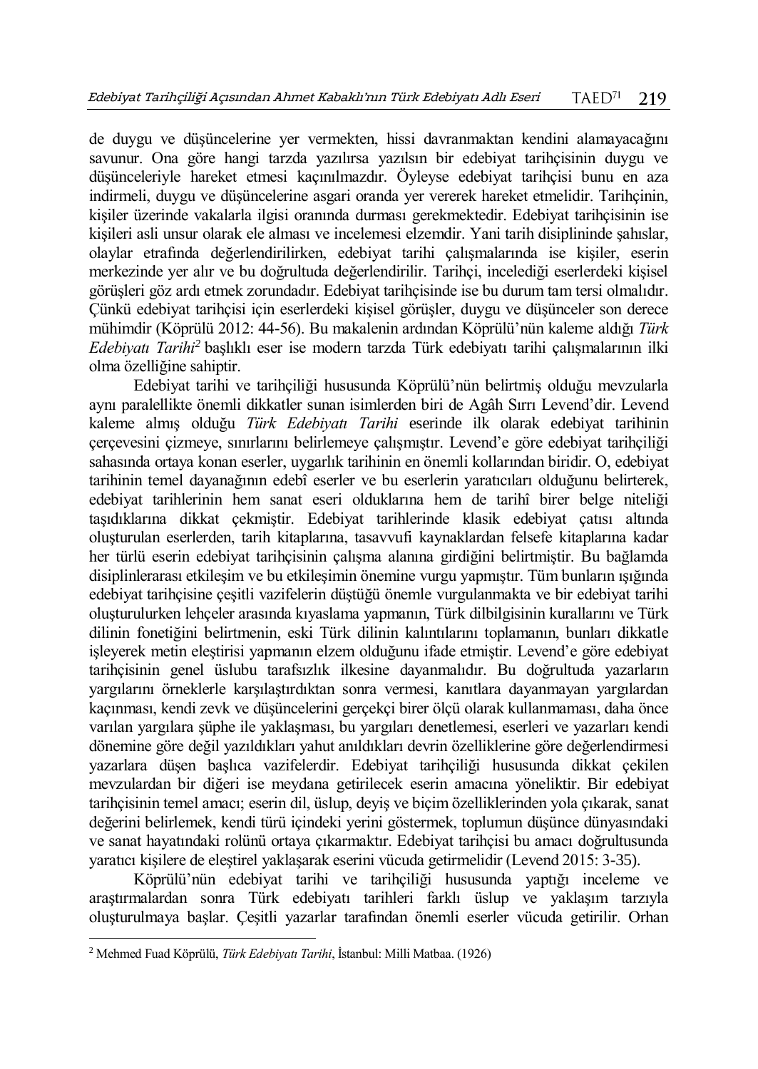de duygu ve düşüncelerine yer vermekten, hissi davranmaktan kendini alamayacağını savunur. Ona göre hangi tarzda yazılırsa yazılsın bir edebiyat tarihçisinin duygu ve düşünceleriyle hareket etmesi kaçınılmazdır. Öyleyse edebiyat tarihçisi bunu en aza indirmeli, duygu ve düşüncelerine asgari oranda yer vererek hareket etmelidir. Tarihçinin, kişiler üzerinde vakalarla ilgisi oranında durması gerekmektedir. Edebiyat tarihçisinin ise kişileri asli unsur olarak ele alması ve incelemesi elzemdir. Yani tarih disiplininde şahıslar, olaylar etrafında değerlendirilirken, edebiyat tarihi çalışmalarında ise kişiler, eserin merkezinde yer alır ve bu doğrultuda değerlendirilir. Tarihçi, incelediği eserlerdeki kişisel görüşleri göz ardı etmek zorundadır. Edebiyat tarihçisinde ise bu durum tam tersi olmalıdır. Çünkü edebiyat tarihçisi için eserlerdeki kişisel görüşler, duygu ve düşünceler son derece mühimdir (Köprülü 2012: 44-56). Bu makalenin ardından Köprülü'nün kaleme aldığı *Türk Edebiyatı Tarihi<sup>2</sup>* başlıklı eser ise modern tarzda Türk edebiyatı tarihi çalışmalarının ilki olma özelliğine sahiptir.

Edebiyat tarihi ve tarihçiliği hususunda Köprülü'nün belirtmiş olduğu mevzularla aynı paralellikte önemli dikkatler sunan isimlerden biri de Agâh Sırrı Levend'dir. Levend kaleme almış olduğu *Türk Edebiyatı Tarihi* eserinde ilk olarak edebiyat tarihinin çerçevesini çizmeye, sınırlarını belirlemeye çalışmıştır. Levend'e göre edebiyat tarihçiliği sahasında ortaya konan eserler, uygarlık tarihinin en önemli kollarından biridir. O, edebiyat tarihinin temel dayanağının edebî eserler ve bu eserlerin yaratıcıları olduğunu belirterek, edebiyat tarihlerinin hem sanat eseri olduklarına hem de tarihî birer belge niteliği taşıdıklarına dikkat çekmiştir. Edebiyat tarihlerinde klasik edebiyat çatısı altında oluşturulan eserlerden, tarih kitaplarına, tasavvufi kaynaklardan felsefe kitaplarına kadar her türlü eserin edebiyat tarihçisinin çalışma alanına girdiğini belirtmiştir. Bu bağlamda disiplinlerarası etkileşim ve bu etkileşimin önemine vurgu yapmıştır. Tüm bunların ışığında edebiyat tarihçisine çeşitli vazifelerin düştüğü önemle vurgulanmakta ve bir edebiyat tarihi oluşturulurken lehçeler arasında kıyaslama yapmanın, Türk dilbilgisinin kurallarını ve Türk dilinin fonetiğini belirtmenin, eski Türk dilinin kalıntılarını toplamanın, bunları dikkatle işleyerek metin eleştirisi yapmanın elzem olduğunu ifade etmiştir. Levend'e göre edebiyat tarihçisinin genel üslubu tarafsızlık ilkesine dayanmalıdır. Bu doğrultuda yazarların yargılarını örneklerle karşılaştırdıktan sonra vermesi, kanıtlara dayanmayan yargılardan kaçınması, kendi zevk ve düşüncelerini gerçekçi birer ölçü olarak kullanmaması, daha önce varılan yargılara şüphe ile yaklaşması, bu yargıları denetlemesi, eserleri ve yazarları kendi dönemine göre değil yazıldıkları yahut anıldıkları devrin özelliklerine göre değerlendirmesi yazarlara düşen başlıca vazifelerdir. Edebiyat tarihçiliği hususunda dikkat çekilen mevzulardan bir diğeri ise meydana getirilecek eserin amacına yöneliktir. Bir edebiyat tarihçisinin temel amacı; eserin dil, üslup, deyiş ve biçim özelliklerinden yola çıkarak, sanat değerini belirlemek, kendi türü içindeki yerini göstermek, toplumun düşünce dünyasındaki ve sanat hayatındaki rolünü ortaya çıkarmaktır. Edebiyat tarihçisi bu amacı doğrultusunda yaratıcı kişilere de eleştirel yaklaşarak eserini vücuda getirmelidir (Levend 2015: 3-35).

Köprülü'nün edebiyat tarihi ve tarihçiliği hususunda yaptığı inceleme ve araştırmalardan sonra Türk edebiyatı tarihleri farklı üslup ve yaklaşım tarzıyla oluşturulmaya başlar. Çeşitli yazarlar tarafından önemli eserler vücuda getirilir. Orhan

 $\overline{a}$ 

<sup>2</sup> Mehmed Fuad Köprülü, *Türk Edebiyatı Tarihi*, İstanbul: Milli Matbaa. (1926)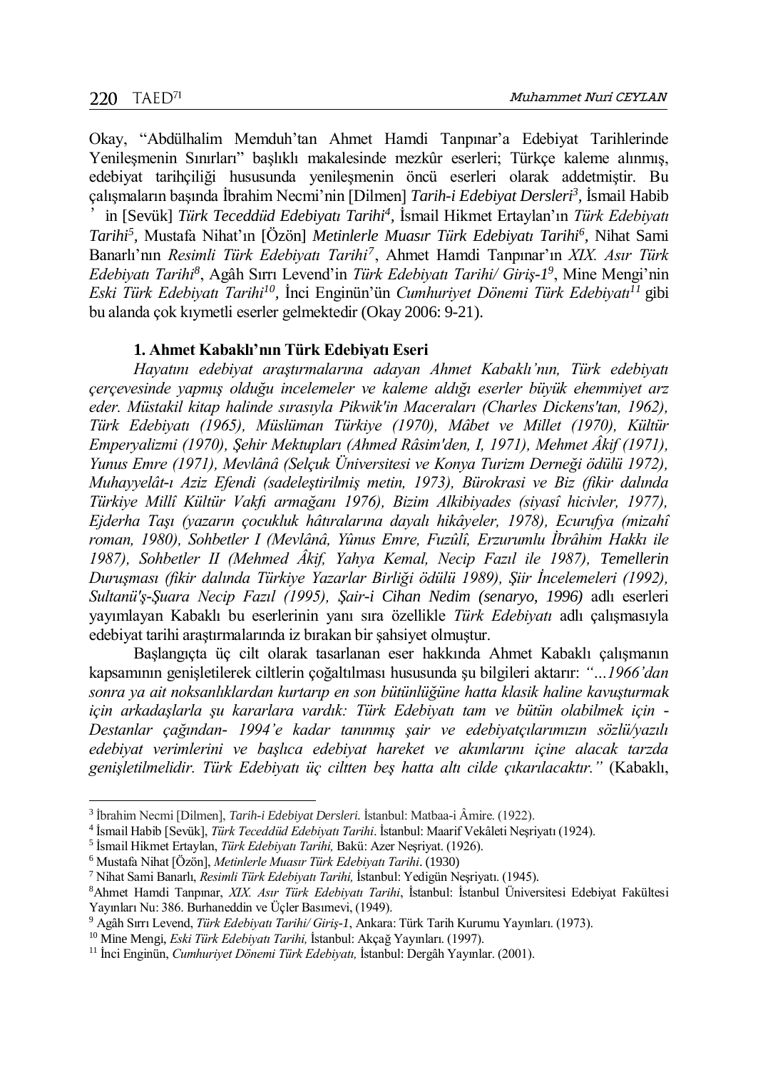$\overline{a}$ 

Okay, "Abdülhalim Memduh'tan Ahmet Hamdi Tanpınar'a Edebiyat Tarihlerinde Yenileşmenin Sınırları" başlıklı makalesinde mezkûr eserleri; Türkçe kaleme alınmış, edebiyat tarihçiliği hususunda yenileşmenin öncü eserleri olarak addetmiştir. Bu çalışmaların başında İbrahim Necmi'nin [Dilmen] *Tarih-i Edebiyat Dersleri<sup>3</sup> ,* İsmail Habib

'in [Sevük] *Türk Teceddüd Edebiyatı Tarihi<sup>4</sup> ,* İsmail Hikmet Ertaylan'ın *Türk Edebiyatı Tarihi<sup>5</sup> ,* Mustafa Nihat'ın [Özön] *Metinlerle Muasır Türk Edebiyatı Tarihi<sup>6</sup> ,* Nihat Sami Banarlı'nın *Resimli Türk Edebiyatı Tarihi<sup>7</sup>* , Ahmet Hamdi Tanpınar'ın *XIX. Asır Türk Edebiyatı Tarihi<sup>8</sup>* , Agâh Sırrı Levend'in *Türk Edebiyatı Tarihi/ Giriş-1 9* , Mine Mengi'nin *Eski Türk Edebiyatı Tarihi<sup>10</sup> ,* İnci Enginün'ün *Cumhuriyet Dönemi Türk Edebiyatı<sup>11</sup>* gibi bu alanda çok kıymetli eserler gelmektedir (Okay 2006: 9-21).

# **1. Ahmet Kabaklı'nın Türk Edebiyatı Eseri**

*Hayatını edebiyat araştırmalarına adayan Ahmet Kabaklı'nın, Türk edebiyatı çerçevesinde yapmış olduğu incelemeler ve kaleme aldığı eserler büyük ehemmiyet arz eder. Müstakil kitap halinde sırasıyla Pikwik'in Maceraları (Charles Dickens'tan, 1962), Türk Edebiyatı (1965), Müslüman Türkiye (1970), Mâbet ve Millet (1970), Kültür Emperyalizmi (1970), Şehir Mektupları (Ahmed Râsim'den, I, 1971), Mehmet Âkif (1971), Yunus Emre (1971), Mevlânâ (Selçuk Üniversitesi ve Konya Turizm Derneği ödülü 1972), Muhayyelât-ı Aziz Efendi (sadeleştirilmiş metin, 1973), Bürokrasi ve Biz (fikir dalında Türkiye Millî Kültür Vakfı armağanı 1976), Bizim Alkibiyades (siyasî hicivler, 1977), Ejderha Taşı (yazarın çocukluk hâtıralarına dayalı hikâyeler, 1978), Ecurufya (mizahî roman, 1980), Sohbetler I (Mevlânâ, Yûnus Emre, Fuzûlî, Erzurumlu İbrâhim Hakkı ile 1987), Sohbetler II (Mehmed Âkif, Yahya Kemal, Necip Fazıl ile 1987), Temellerin Duruşması (fikir dalında Türkiye Yazarlar Birliği ödülü 1989), Şiir İncelemeleri (1992), Sultanü'ş-Şuara Necip Fazıl (1995), Şair-i Cihan Nedim (senaryo, 1996)* adlı eserleri yayımlayan Kabaklı bu eserlerinin yanı sıra özellikle *Türk Edebiyatı* adlı çalışmasıyla edebiyat tarihi araştırmalarında iz bırakan bir şahsiyet olmuştur.

Başlangıçta üç cilt olarak tasarlanan eser hakkında Ahmet Kabaklı çalışmanın kapsamının genişletilerek ciltlerin çoğaltılması hususunda şu bilgileri aktarır: *"…1966'dan sonra ya ait noksanlıklardan kurtarıp en son bütünlüğüne hatta klasik haline kavuşturmak için arkadaşlarla şu kararlara vardık: Türk Edebiyatı tam ve bütün olabilmek için - Destanlar çağından- 1994'e kadar tanınmış şair ve edebiyatçılarımızın sözlü/yazılı edebiyat verimlerini ve başlıca edebiyat hareket ve akımlarını içine alacak tarzda genişletilmelidir. Türk Edebiyatı üç ciltten beş hatta altı cilde çıkarılacaktır."* (Kabaklı,

<sup>3</sup> İbrahim Necmi [Dilmen], *Tarih-i Edebiyat Dersleri.* İstanbul: Matbaa-i Âmire. (1922).

<sup>4</sup> İsmail Habib [Sevük], *Türk Teceddüd Edebiyatı Tarihi*. İstanbul: Maarif Vekâleti Neşriyatı (1924).

<sup>5</sup> İsmail Hikmet Ertaylan, *Türk Edebiyatı Tarihi,* Bakü: Azer Neşriyat. (1926).

<sup>6</sup> Mustafa Nihat [Özön], *Metinlerle Muasır Türk Edebiyatı Tarihi*. (1930)

<sup>7</sup> Nihat Sami Banarlı, *Resimli Türk Edebiyatı Tarihi,* İstanbul: Yedigün Neşriyatı. (1945)*.*

<sup>8</sup>Ahmet Hamdi Tanpınar, *XIX. Asır Türk Edebiyatı Tarihi*, İstanbul: İstanbul Üniversitesi Edebiyat Fakültesi Yayınları Nu: 386. Burhaneddin ve Üçler Basımevi, (1949).

<sup>9</sup> Agâh Sırrı Levend, *Türk Edebiyatı Tarihi/ Giriş-1*, Ankara: Türk Tarih Kurumu Yayınları. (1973).

<sup>10</sup> Mine Mengi, *Eski Türk Edebiyatı Tarihi,* İstanbul: Akçağ Yayınları. (1997).

<sup>11</sup> İnci Enginün, *Cumhuriyet Dönemi Türk Edebiyatı,* İstanbul: Dergâh Yayınlar. (2001).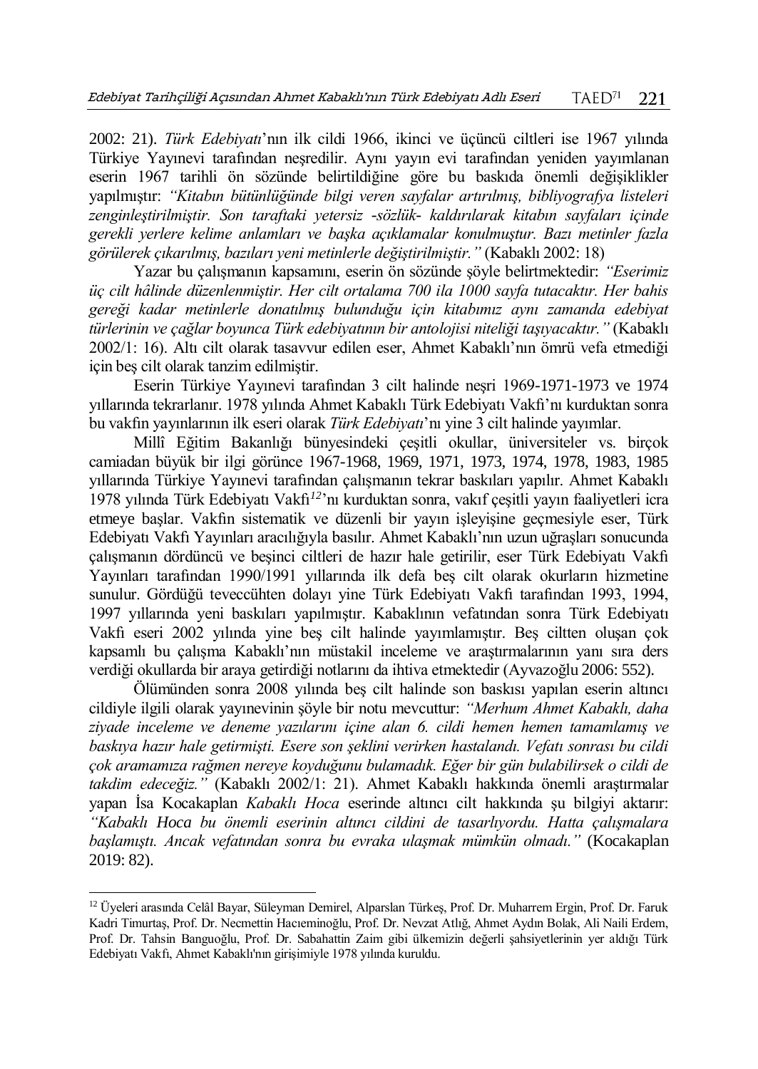2002: 21). *Türk Edebiyatı*'nın ilk cildi 1966, ikinci ve üçüncü ciltleri ise 1967 yılında Türkiye Yayınevi tarafından neşredilir. Aynı yayın evi tarafından yeniden yayımlanan eserin 1967 tarihli ön sözünde belirtildiğine göre bu baskıda önemli değişiklikler yapılmıştır: *"Kitabın bütünlüğünde bilgi veren sayfalar artırılmış, bibliyografya listeleri zenginleştirilmiştir. Son taraftaki yetersiz -sözlük- kaldırılarak kitabın sayfaları içinde gerekli yerlere kelime anlamları ve başka açıklamalar konulmuştur. Bazı metinler fazla görülerek çıkarılmış, bazıları yeni metinlerle değiştirilmiştir."* (Kabaklı 2002: 18)

Yazar bu çalışmanın kapsamını, eserin ön sözünde şöyle belirtmektedir: *"Eserimiz üç cilt hâlinde düzenlenmiştir. Her cilt ortalama 700 ila 1000 sayfa tutacaktır. Her bahis gereği kadar metinlerle donatılmış bulunduğu için kitabımız aynı zamanda edebiyat türlerinin ve çağlar boyunca Türk edebiyatının bir antolojisi niteliği taşıyacaktır."* (Kabaklı 2002/1: 16). Altı cilt olarak tasavvur edilen eser, Ahmet Kabaklı'nın ömrü vefa etmediği için beş cilt olarak tanzim edilmiştir.

Eserin Türkiye Yayınevi tarafından 3 cilt halinde neşri 1969-1971-1973 ve 1974 yıllarında tekrarlanır. 1978 yılında Ahmet Kabaklı Türk Edebiyatı Vakfı'nı kurduktan sonra bu vakfın yayınlarının ilk eseri olarak *Türk Edebiyatı*'nı yine 3 cilt halinde yayımlar.

Millî Eğitim Bakanlığı bünyesindeki çeşitli okullar, üniversiteler vs. birçok camiadan büyük bir ilgi görünce 1967-1968, 1969, 1971, 1973, 1974, 1978, 1983, 1985 yıllarında Türkiye Yayınevi tarafından çalışmanın tekrar baskıları yapılır. Ahmet Kabaklı 1978 yılında Türk Edebiyatı Vakfı*<sup>12</sup>*'nı kurduktan sonra, vakıf çeşitli yayın faaliyetleri icra etmeye başlar. Vakfın sistematik ve düzenli bir yayın işleyişine geçmesiyle eser, Türk Edebiyatı Vakfı Yayınları aracılığıyla basılır. Ahmet Kabaklı'nın uzun uğraşları sonucunda çalışmanın dördüncü ve beşinci ciltleri de hazır hale getirilir, eser Türk Edebiyatı Vakfı Yayınları tarafından 1990/1991 yıllarında ilk defa beş cilt olarak okurların hizmetine sunulur. Gördüğü teveccühten dolayı yine Türk Edebiyatı Vakfı tarafından 1993, 1994, 1997 yıllarında yeni baskıları yapılmıştır. Kabaklının vefatından sonra Türk Edebiyatı Vakfı eseri 2002 yılında yine beş cilt halinde yayımlamıştır. Beş ciltten oluşan çok kapsamlı bu çalışma Kabaklı'nın müstakil inceleme ve araştırmalarının yanı sıra ders verdiği okullarda bir araya getirdiği notlarını da ihtiva etmektedir (Ayvazoğlu 2006: 552).

Ölümünden sonra 2008 yılında beş cilt halinde son baskısı yapılan eserin altıncı cildiyle ilgili olarak yayınevinin şöyle bir notu mevcuttur: *"Merhum Ahmet Kabaklı, daha ziyade inceleme ve deneme yazılarını içine alan 6. cildi hemen hemen tamamlamış ve baskıya hazır hale getirmişti. Esere son şeklini verirken hastalandı. Vefatı sonrası bu cildi çok aramamıza rağmen nereye koyduğunu bulamadık. Eğer bir gün bulabilirsek o cildi de takdim edeceğiz."* (Kabaklı 2002/1: 21). Ahmet Kabaklı hakkında önemli araştırmalar yapan İsa Kocakaplan *Kabaklı Hoca* eserinde altıncı cilt hakkında şu bilgiyi aktarır: *"Kabaklı Hoca bu önemli eserinin altıncı cildini de tasarlıyordu. Hatta çalışmalara başlamıştı. Ancak vefatından sonra bu evraka ulaşmak mümkün olmadı."* (Kocakaplan 2019: 82).

 $\overline{a}$ 

<sup>12</sup> Üyeleri arasında Celâl Bayar, Süleyman Demirel, Alparslan Türkeş, Prof. Dr. Muharrem Ergin, Prof. Dr. Faruk Kadri Timurtaş, Prof. Dr. Necmettin Hacıeminoğlu, Prof. Dr. Nevzat Atlığ, Ahmet Aydın Bolak, Ali Naili Erdem, Prof. Dr. Tahsin Banguoğlu, Prof. Dr. Sabahattin Zaim gibi ülkemizin değerli şahsiyetlerinin yer aldığı Türk Edebiyatı Vakfı, Ahmet Kabaklı'nın girişimiyle 1978 yılında kuruldu.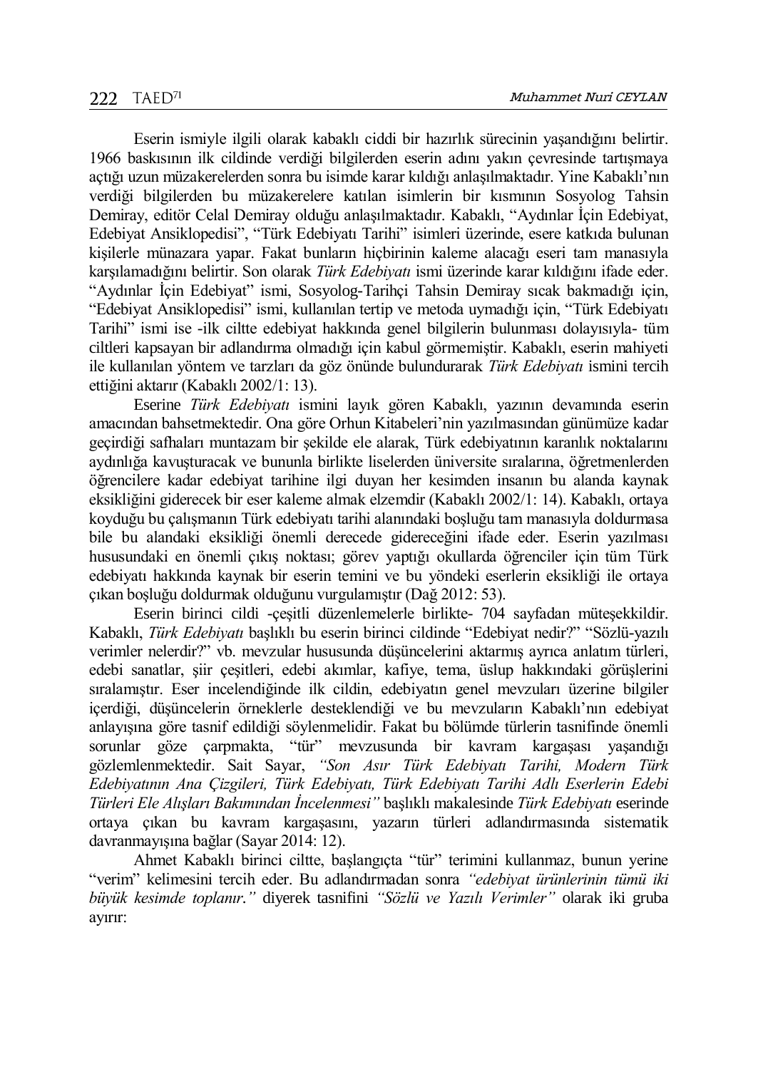Eserin ismiyle ilgili olarak kabaklı ciddi bir hazırlık sürecinin yaşandığını belirtir. 1966 baskısının ilk cildinde verdiği bilgilerden eserin adını yakın çevresinde tartışmaya açtığı uzun müzakerelerden sonra bu isimde karar kıldığı anlaşılmaktadır. Yine Kabaklı'nın verdiği bilgilerden bu müzakerelere katılan isimlerin bir kısmının Sosyolog Tahsin Demiray, editör Celal Demiray olduğu anlaşılmaktadır. Kabaklı, "Aydınlar İçin Edebiyat, Edebiyat Ansiklopedisi", "Türk Edebiyatı Tarihi" isimleri üzerinde, esere katkıda bulunan kişilerle münazara yapar. Fakat bunların hiçbirinin kaleme alacağı eseri tam manasıyla karşılamadığını belirtir. Son olarak *Türk Edebiyatı* ismi üzerinde karar kıldığını ifade eder. "Aydınlar İçin Edebiyat" ismi, Sosyolog-Tarihçi Tahsin Demiray sıcak bakmadığı için, "Edebiyat Ansiklopedisi" ismi, kullanılan tertip ve metoda uymadığı için, "Türk Edebiyatı Tarihi" ismi ise -ilk ciltte edebiyat hakkında genel bilgilerin bulunması dolayısıyla- tüm ciltleri kapsayan bir adlandırma olmadığı için kabul görmemiştir. Kabaklı, eserin mahiyeti ile kullanılan yöntem ve tarzları da göz önünde bulundurarak *Türk Edebiyatı* ismini tercih ettiğini aktarır (Kabaklı 2002/1: 13).

Eserine *Türk Edebiyatı* ismini layık gören Kabaklı, yazının devamında eserin amacından bahsetmektedir. Ona göre Orhun Kitabeleri'nin yazılmasından günümüze kadar geçirdiği safhaları muntazam bir şekilde ele alarak, Türk edebiyatının karanlık noktalarını aydınlığa kavuşturacak ve bununla birlikte liselerden üniversite sıralarına, öğretmenlerden öğrencilere kadar edebiyat tarihine ilgi duyan her kesimden insanın bu alanda kaynak eksikliğini giderecek bir eser kaleme almak elzemdir (Kabaklı 2002/1: 14). Kabaklı, ortaya koyduğu bu çalışmanın Türk edebiyatı tarihi alanındaki boşluğu tam manasıyla doldurmasa bile bu alandaki eksikliği önemli derecede gidereceğini ifade eder. Eserin yazılması hususundaki en önemli çıkış noktası; görev yaptığı okullarda öğrenciler için tüm Türk edebiyatı hakkında kaynak bir eserin temini ve bu yöndeki eserlerin eksikliği ile ortaya çıkan boşluğu doldurmak olduğunu vurgulamıştır (Dağ 2012: 53).

Eserin birinci cildi -çeşitli düzenlemelerle birlikte- 704 sayfadan müteşekkildir. Kabaklı, *Türk Edebiyatı* başlıklı bu eserin birinci cildinde "Edebiyat nedir?" "Sözlü-yazılı verimler nelerdir?" vb. mevzular hususunda düşüncelerini aktarmış ayrıca anlatım türleri, edebi sanatlar, şiir çeşitleri, edebi akımlar, kafiye, tema, üslup hakkındaki görüşlerini sıralamıştır. Eser incelendiğinde ilk cildin, edebiyatın genel mevzuları üzerine bilgiler içerdiği, düşüncelerin örneklerle desteklendiği ve bu mevzuların Kabaklı'nın edebiyat anlayışına göre tasnif edildiği söylenmelidir. Fakat bu bölümde türlerin tasnifinde önemli sorunlar göze çarpmakta, "tür" mevzusunda bir kavram kargaşası yaşandığı gözlemlenmektedir. Sait Sayar, *"Son Asır Türk Edebiyatı Tarihi, Modern Türk Edebiyatının Ana Çizgileri, Türk Edebiyatı, Türk Edebiyatı Tarihi Adlı Eserlerin Edebi Türleri Ele Alışları Bakımından İncelenmesi"* başlıklı makalesinde *Türk Edebiyatı* eserinde ortaya çıkan bu kavram kargaşasını, yazarın türleri adlandırmasında sistematik davranmayışına bağlar (Sayar 2014: 12).

Ahmet Kabaklı birinci ciltte, başlangıçta "tür" terimini kullanmaz, bunun yerine "verim" kelimesini tercih eder. Bu adlandırmadan sonra *"edebiyat ürünlerinin tümü iki büyük kesimde toplanır."* diyerek tasnifini *"Sözlü ve Yazılı Verimler"* olarak iki gruba ayırır: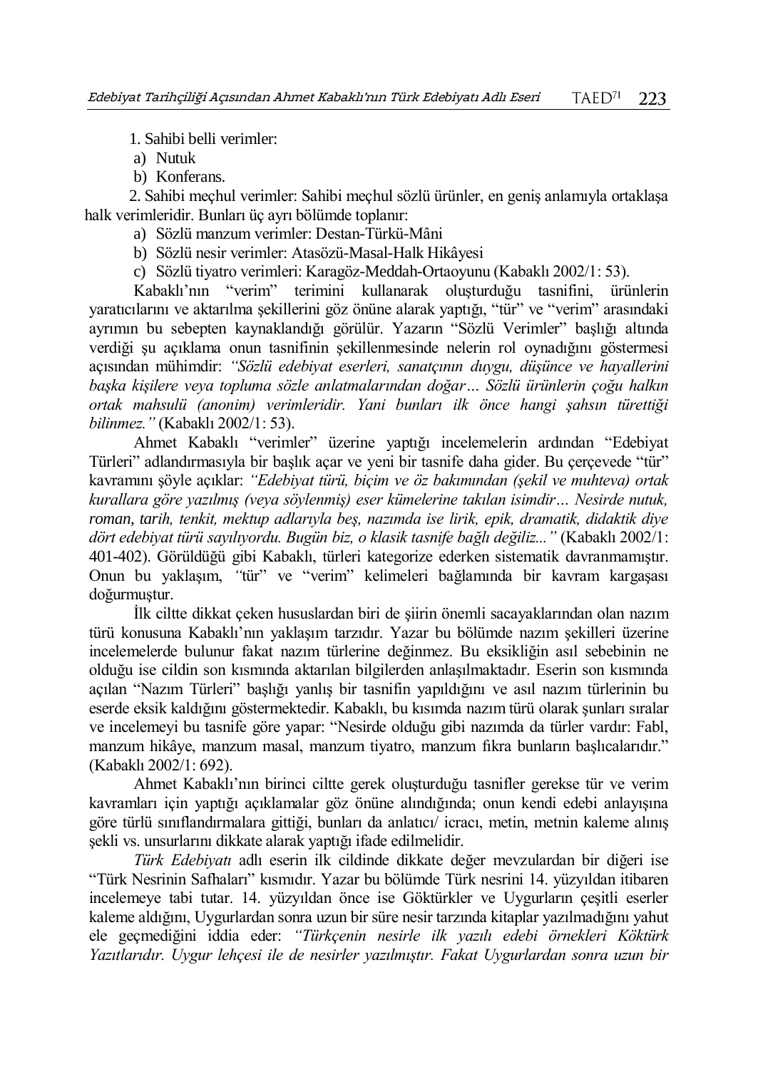1. Sahibi belli verimler:

a) Nutuk

b) Konferans.

2. Sahibi meçhul verimler: Sahibi meçhul sözlü ürünler, en geniş anlamıyla ortaklaşa halk verimleridir. Bunları üç ayrı bölümde toplanır:

- a) Sözlü manzum verimler: Destan-Türkü-Mâni
- b) Sözlü nesir verimler: Atasözü-Masal-Halk Hikâyesi
- c) Sözlü tiyatro verimleri: Karagöz-Meddah-Ortaoyunu (Kabaklı 2002/1: 53).

Kabaklı'nın "verim" terimini kullanarak oluşturduğu tasnifini, ürünlerin yaratıcılarını ve aktarılma şekillerini göz önüne alarak yaptığı, "tür" ve "verim" arasındaki ayrımın bu sebepten kaynaklandığı görülür. Yazarın "Sözlü Verimler" başlığı altında verdiği şu açıklama onun tasnifinin şekillenmesinde nelerin rol oynadığını göstermesi açısından mühimdir: *"Sözlü edebiyat eserleri, sanatçının duygu, düşünce ve hayallerini başka kişilere veya topluma sözle anlatmalarından doğar… Sözlü ürünlerin çoğu halkın ortak mahsulü (anonim) verimleridir. Yani bunları ilk önce hangi şahsın türettiği bilinmez."* (Kabaklı 2002/1: 53).

Ahmet Kabaklı "verimler" üzerine yaptığı incelemelerin ardından "Edebiyat Türleri" adlandırmasıyla bir başlık açar ve yeni bir tasnife daha gider. Bu çerçevede "tür" kavramını şöyle açıklar: *"Edebiyat türü, biçim ve öz bakımından (şekil ve muhteva) ortak kurallara göre yazılmış (veya söylenmiş) eser kümelerine takılan isimdir… Nesirde nutuk, roman, tarih, tenkit, mektup adlarıyla beş, nazımda ise lirik, epik, dramatik, didaktik diye dört edebiyat türü sayılıyordu. Bugün biz, o klasik tasnife bağlı değiliz..."* (Kabaklı 2002/1: 401-402). Görüldüğü gibi Kabaklı, türleri kategorize ederken sistematik davranmamıştır. Onun bu yaklaşım, *"*tür" ve "verim" kelimeleri bağlamında bir kavram kargaşası doğurmuştur.

İlk ciltte dikkat çeken hususlardan biri de şiirin önemli sacayaklarından olan nazım türü konusuna Kabaklı'nın yaklaşım tarzıdır. Yazar bu bölümde nazım şekilleri üzerine incelemelerde bulunur fakat nazım türlerine değinmez. Bu eksikliğin asıl sebebinin ne olduğu ise cildin son kısmında aktarılan bilgilerden anlaşılmaktadır. Eserin son kısmında açılan "Nazım Türleri" başlığı yanlış bir tasnifin yapıldığını ve asıl nazım türlerinin bu eserde eksik kaldığını göstermektedir. Kabaklı, bu kısımda nazım türü olarak şunları sıralar ve incelemeyi bu tasnife göre yapar: "Nesirde olduğu gibi nazımda da türler vardır: Fabl, manzum hikâye, manzum masal, manzum tiyatro, manzum fıkra bunların başlıcalarıdır." (Kabaklı 2002/1: 692).

Ahmet Kabaklı'nın birinci ciltte gerek oluşturduğu tasnifler gerekse tür ve verim kavramları için yaptığı açıklamalar göz önüne alındığında; onun kendi edebi anlayışına göre türlü sınıflandırmalara gittiği, bunları da anlatıcı/ icracı, metin, metnin kaleme alınış şekli vs. unsurlarını dikkate alarak yaptığı ifade edilmelidir.

*Türk Edebiyatı* adlı eserin ilk cildinde dikkate değer mevzulardan bir diğeri ise "Türk Nesrinin Safhaları" kısmıdır. Yazar bu bölümde Türk nesrini 14. yüzyıldan itibaren incelemeye tabi tutar. 14. yüzyıldan önce ise Göktürkler ve Uygurların çeşitli eserler kaleme aldığını, Uygurlardan sonra uzun bir süre nesir tarzında kitaplar yazılmadığını yahut ele geçmediğini iddia eder: *"Türkçenin nesirle ilk yazılı edebi örnekleri Köktürk Yazıtlarıdır. Uygur lehçesi ile de nesirler yazılmıştır. Fakat Uygurlardan sonra uzun bir*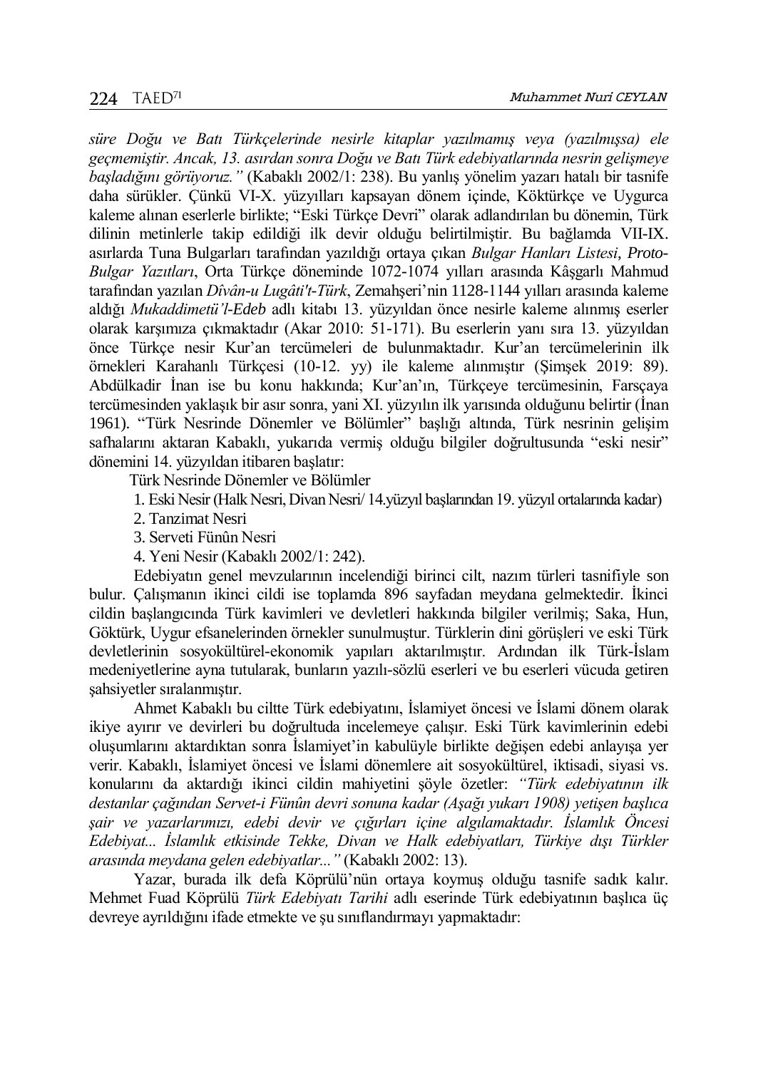*süre Doğu ve Batı Türkçelerinde nesirle kitaplar yazılmamış veya (yazılmışsa) ele geçmemiştir. Ancak, 13. asırdan sonra Doğu ve Batı Türk edebiyatlarında nesrin gelişmeye başladığını görüyoruz."* (Kabaklı 2002/1: 238). Bu yanlış yönelim yazarı hatalı bir tasnife daha sürükler. Çünkü VI-X. yüzyılları kapsayan dönem içinde, Köktürkçe ve Uygurca kaleme alınan eserlerle birlikte; "Eski Türkçe Devri" olarak adlandırılan bu dönemin, Türk dilinin metinlerle takip edildiği ilk devir olduğu belirtilmiştir. Bu bağlamda VII-IX. asırlarda Tuna Bulgarları tarafından yazıldığı ortaya çıkan *Bulgar Hanları Listesi*, *Proto-Bulgar Yazıtları*, Orta Türkçe döneminde 1072-1074 yılları arasında Kâşgarlı Mahmud tarafından yazılan *Dîvân-u Lugâti't-Türk*, Zemahşeri'nin 1128-1144 yılları arasında kaleme aldığı *Mukaddimetü'l-Edeb* adlı kitabı 13. yüzyıldan önce nesirle kaleme alınmış eserler olarak karşımıza çıkmaktadır (Akar 2010: 51-171). Bu eserlerin yanı sıra 13. yüzyıldan önce Türkçe nesir Kur'an tercümeleri de bulunmaktadır. Kur'an tercümelerinin ilk örnekleri Karahanlı Türkçesi (10-12. yy) ile kaleme alınmıştır (Şimşek 2019: 89). Abdülkadir İnan ise bu konu hakkında; Kur'an'ın, Türkçeye tercümesinin, Farsçaya tercümesinden yaklaşık bir asır sonra, yani XI. yüzyılın ilk yarısında olduğunu belirtir (İnan 1961). "Türk Nesrinde Dönemler ve Bölümler" başlığı altında, Türk nesrinin gelişim safhalarını aktaran Kabaklı, yukarıda vermiş olduğu bilgiler doğrultusunda "eski nesir" dönemini 14. yüzyıldan itibaren başlatır:

Türk Nesrinde Dönemler ve Bölümler

- 1. Eski Nesir (Halk Nesri, Divan Nesri/ 14.yüzyıl başlarından 19. yüzyıl ortalarında kadar)
- 2. Tanzimat Nesri
- 3. Serveti Fünûn Nesri
- 4. Yeni Nesir (Kabaklı 2002/1: 242).

Edebiyatın genel mevzularının incelendiği birinci cilt, nazım türleri tasnifiyle son bulur. Çalışmanın ikinci cildi ise toplamda 896 sayfadan meydana gelmektedir. İkinci cildin başlangıcında Türk kavimleri ve devletleri hakkında bilgiler verilmiş; Saka, Hun, Göktürk, Uygur efsanelerinden örnekler sunulmuştur. Türklerin dini görüşleri ve eski Türk devletlerinin sosyokültürel-ekonomik yapıları aktarılmıştır. Ardından ilk Türk-İslam medeniyetlerine ayna tutularak, bunların yazılı-sözlü eserleri ve bu eserleri vücuda getiren şahsiyetler sıralanmıştır.

Ahmet Kabaklı bu ciltte Türk edebiyatını, İslamiyet öncesi ve İslami dönem olarak ikiye ayırır ve devirleri bu doğrultuda incelemeye çalışır. Eski Türk kavimlerinin edebi oluşumlarını aktardıktan sonra İslamiyet'in kabulüyle birlikte değişen edebi anlayışa yer verir. Kabaklı, İslamiyet öncesi ve İslami dönemlere ait sosyokültürel, iktisadi, siyasi vs. konularını da aktardığı ikinci cildin mahiyetini şöyle özetler: *"Türk edebiyatının ilk destanlar çağından Servet-i Fünûn devri sonuna kadar (Aşağı yukarı 1908) yetişen başlıca şair ve yazarlarımızı, edebi devir ve çığırları içine algılamaktadır. İslamlık Öncesi Edebiyat... İslamlık etkisinde Tekke, Divan ve Halk edebiyatları, Türkiye dışı Türkler arasında meydana gelen edebiyatlar..."* (Kabaklı 2002: 13).

Yazar, burada ilk defa Köprülü'nün ortaya koymuş olduğu tasnife sadık kalır. Mehmet Fuad Köprülü *Türk Edebiyatı Tarihi* adlı eserinde Türk edebiyatının başlıca üç devreye ayrıldığını ifade etmekte ve şu sınıflandırmayı yapmaktadır: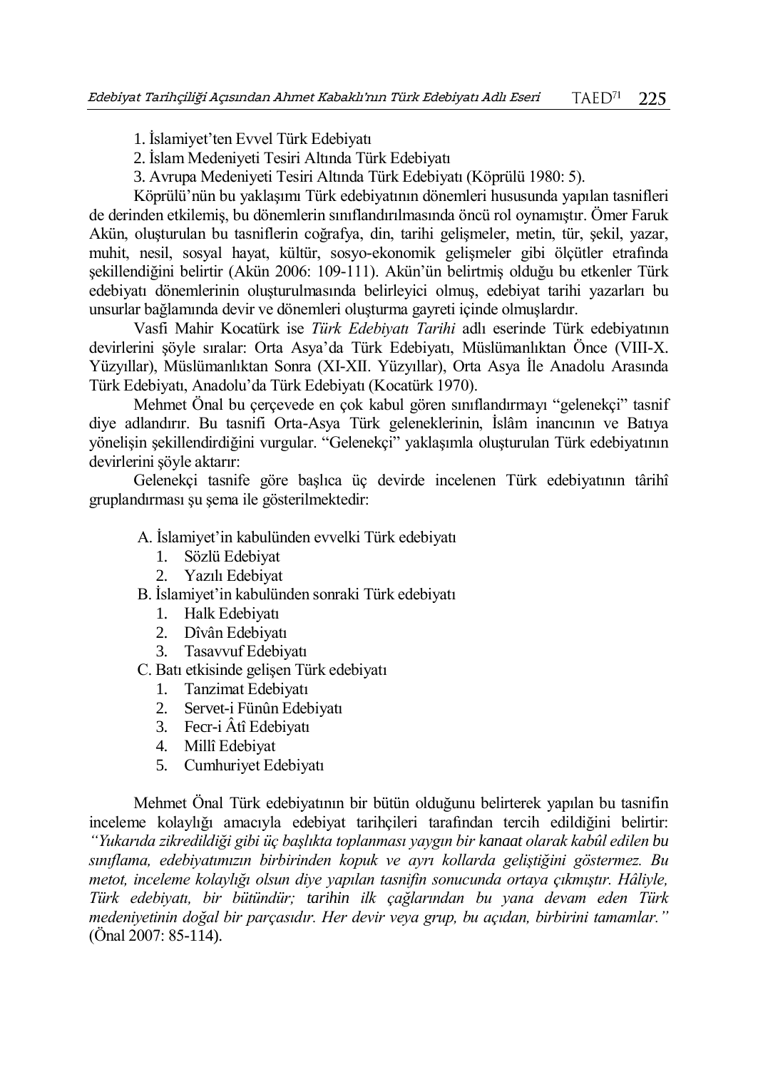1. İslamiyet'ten Evvel Türk Edebiyatı

- 2. İslam Medeniyeti Tesiri Altında Türk Edebiyatı
- 3. Avrupa Medeniyeti Tesiri Altında Türk Edebiyatı (Köprülü 1980: 5).

Köprülü'nün bu yaklaşımı Türk edebiyatının dönemleri hususunda yapılan tasnifleri de derinden etkilemiş, bu dönemlerin sınıflandırılmasında öncü rol oynamıştır. Ömer Faruk Akün, oluşturulan bu tasniflerin coğrafya, din, tarihi gelişmeler, metin, tür, şekil, yazar, muhit, nesil, sosyal hayat, kültür, sosyo-ekonomik gelişmeler gibi ölçütler etrafında şekillendiğini belirtir (Akün 2006: 109-111). Akün'ün belirtmiş olduğu bu etkenler Türk edebiyatı dönemlerinin oluşturulmasında belirleyici olmuş, edebiyat tarihi yazarları bu unsurlar bağlamında devir ve dönemleri oluşturma gayreti içinde olmuşlardır.

Vasfi Mahir Kocatürk ise *Türk Edebiyatı Tarihi* adlı eserinde Türk edebiyatının devirlerini şöyle sıralar: Orta Asya'da Türk Edebiyatı, Müslümanlıktan Önce (VIII-X. Yüzyıllar), Müslümanlıktan Sonra (XI-XII. Yüzyıllar), Orta Asya İle Anadolu Arasında Türk Edebiyatı, Anadolu'da Türk Edebiyatı (Kocatürk 1970).

Mehmet Önal bu çerçevede en çok kabul gören sınıflandırmayı "gelenekçi" tasnif diye adlandırır. Bu tasnifi Orta-Asya Türk geleneklerinin, İslâm inancının ve Batıya yönelişin şekillendirdiğini vurgular. "Gelenekçi" yaklaşımla oluşturulan Türk edebiyatının devirlerini şöyle aktarır:

Gelenekçi tasnife göre başlıca üç devirde incelenen Türk edebiyatının târihî gruplandırması şu şema ile gösterilmektedir:

- A. İslamiyet'in kabulünden evvelki Türk edebiyatı
	- 1. Sözlü Edebiyat
	- 2. Yazılı Edebiyat
- B. İslamiyet'in kabulünden sonraki Türk edebiyatı
	- 1. Halk Edebiyatı
	- 2. Dîvân Edebiyatı
	- 3. Tasavvuf Edebiyatı

C. Batı etkisinde gelişen Türk edebiyatı

- 1. Tanzimat Edebiyatı
- 2. Servet-i Fünûn Edebiyatı
- 3. Fecr-i Âtî Edebiyatı
- 4. Millî Edebiyat
- 5. Cumhuriyet Edebiyatı

Mehmet Önal Türk edebiyatının bir bütün olduğunu belirterek yapılan bu tasnifin inceleme kolaylığı amacıyla edebiyat tarihçileri tarafından tercih edildiğini belirtir: *"Yukarıda zikredildiği gibi üç başlıkta toplanması yaygın bir kanaat olarak kabûl edilen bu sınıflama, edebiyatımızın birbirinden kopuk ve ayrı kollarda geliştiğini göstermez. Bu metot, inceleme kolaylığı olsun diye yapılan tasnifin sonucunda ortaya çıkmıştır. Hâliyle, Türk edebiyatı, bir bütündür; tarihin ilk çağlarından bu yana devam eden Türk medeniyetinin doğal bir parçasıdır. Her devir veya grup, bu açıdan, birbirini tamamlar."* (Önal 2007: 85-114).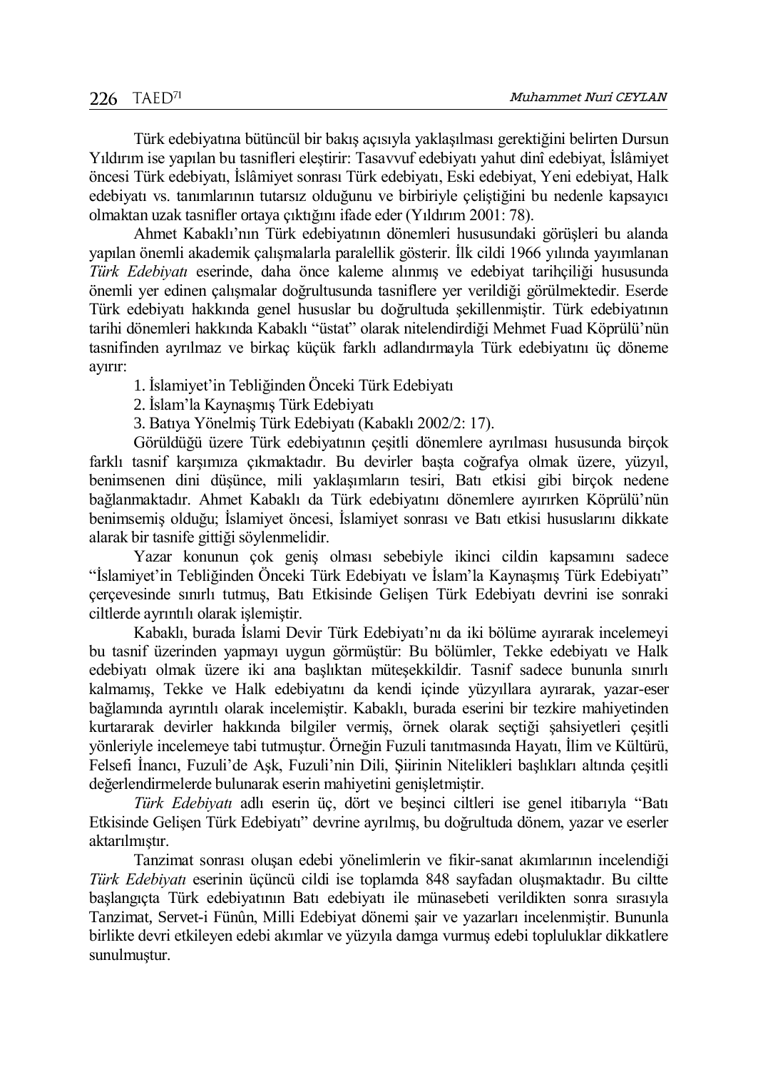Türk edebiyatına bütüncül bir bakış açısıyla yaklaşılması gerektiğini belirten Dursun Yıldırım ise yapılan bu tasnifleri eleştirir: Tasavvuf edebiyatı yahut dinî edebiyat, İslâmiyet öncesi Türk edebiyatı, İslâmiyet sonrası Türk edebiyatı, Eski edebiyat, Yeni edebiyat, Halk edebiyatı vs. tanımlarının tutarsız olduğunu ve birbiriyle çeliştiğini bu nedenle kapsayıcı olmaktan uzak tasnifler ortaya çıktığını ifade eder (Yıldırım 2001: 78).

Ahmet Kabaklı'nın Türk edebiyatının dönemleri hususundaki görüşleri bu alanda yapılan önemli akademik çalışmalarla paralellik gösterir. İlk cildi 1966 yılında yayımlanan *Türk Edebiyatı* eserinde, daha önce kaleme alınmış ve edebiyat tarihçiliği hususunda önemli yer edinen çalışmalar doğrultusunda tasniflere yer verildiği görülmektedir. Eserde Türk edebiyatı hakkında genel hususlar bu doğrultuda şekillenmiştir. Türk edebiyatının tarihi dönemleri hakkında Kabaklı "üstat" olarak nitelendirdiği Mehmet Fuad Köprülü'nün tasnifinden ayrılmaz ve birkaç küçük farklı adlandırmayla Türk edebiyatını üç döneme ayırır:

1. İslamiyet'in Tebliğinden Önceki Türk Edebiyatı

2. İslam'la Kaynaşmış Türk Edebiyatı

3. Batıya Yönelmiş Türk Edebiyatı (Kabaklı 2002/2: 17).

Görüldüğü üzere Türk edebiyatının çeşitli dönemlere ayrılması hususunda birçok farklı tasnif karşımıza çıkmaktadır. Bu devirler başta coğrafya olmak üzere, yüzyıl, benimsenen dini düşünce, mili yaklaşımların tesiri, Batı etkisi gibi birçok nedene bağlanmaktadır. Ahmet Kabaklı da Türk edebiyatını dönemlere ayırırken Köprülü'nün benimsemiş olduğu; İslamiyet öncesi, İslamiyet sonrası ve Batı etkisi hususlarını dikkate alarak bir tasnife gittiği söylenmelidir.

Yazar konunun çok geniş olması sebebiyle ikinci cildin kapsamını sadece "İslamiyet'in Tebliğinden Önceki Türk Edebiyatı ve İslam'la Kaynaşmış Türk Edebiyatı" çerçevesinde sınırlı tutmuş, Batı Etkisinde Gelişen Türk Edebiyatı devrini ise sonraki ciltlerde ayrıntılı olarak işlemiştir.

Kabaklı, burada İslami Devir Türk Edebiyatı'nı da iki bölüme ayırarak incelemeyi bu tasnif üzerinden yapmayı uygun görmüştür: Bu bölümler, Tekke edebiyatı ve Halk edebiyatı olmak üzere iki ana başlıktan müteşekkildir. Tasnif sadece bununla sınırlı kalmamış, Tekke ve Halk edebiyatını da kendi içinde yüzyıllara ayırarak, yazar-eser bağlamında ayrıntılı olarak incelemiştir. Kabaklı, burada eserini bir tezkire mahiyetinden kurtararak devirler hakkında bilgiler vermiş, örnek olarak seçtiği şahsiyetleri çeşitli yönleriyle incelemeye tabi tutmuştur. Örneğin Fuzuli tanıtmasında Hayatı, İlim ve Kültürü, Felsefi İnancı, Fuzuli'de Aşk, Fuzuli'nin Dili, Şiirinin Nitelikleri başlıkları altında çeşitli değerlendirmelerde bulunarak eserin mahiyetini genişletmiştir.

*Türk Edebiyatı* adlı eserin üç, dört ve beşinci ciltleri ise genel itibarıyla "Batı Etkisinde Gelişen Türk Edebiyatı" devrine ayrılmış, bu doğrultuda dönem, yazar ve eserler aktarılmıştır.

Tanzimat sonrası oluşan edebi yönelimlerin ve fikir-sanat akımlarının incelendiği *Türk Edebiyatı* eserinin üçüncü cildi ise toplamda 848 sayfadan oluşmaktadır. Bu ciltte başlangıçta Türk edebiyatının Batı edebiyatı ile münasebeti verildikten sonra sırasıyla Tanzimat, Servet-i Fünûn, Milli Edebiyat dönemi şair ve yazarları incelenmiştir. Bununla birlikte devri etkileyen edebi akımlar ve yüzyıla damga vurmuş edebi topluluklar dikkatlere sunulmuştur.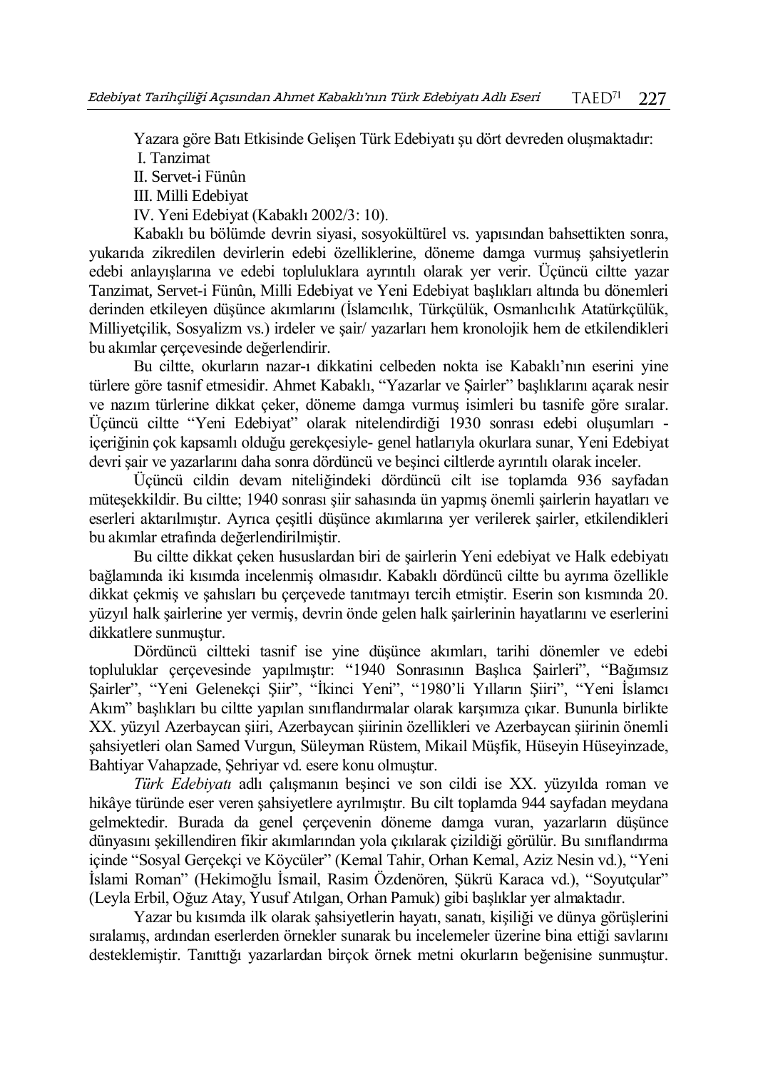Yazara göre Batı Etkisinde Gelişen Türk Edebiyatı şu dört devreden oluşmaktadır: I. Tanzimat II. Servet-i Fünûn III. Milli Edebiyat IV. Yeni Edebiyat (Kabaklı 2002/3: 10).

Kabaklı bu bölümde devrin siyasi, sosyokültürel vs. yapısından bahsettikten sonra, yukarıda zikredilen devirlerin edebi özelliklerine, döneme damga vurmuş şahsiyetlerin edebi anlayışlarına ve edebi topluluklara ayrıntılı olarak yer verir. Üçüncü ciltte yazar Tanzimat, Servet-i Fünûn, Milli Edebiyat ve Yeni Edebiyat başlıkları altında bu dönemleri derinden etkileyen düşünce akımlarını (İslamcılık, Türkçülük, Osmanlıcılık Atatürkçülük, Milliyetçilik, Sosyalizm vs.) irdeler ve şair/ yazarları hem kronolojik hem de etkilendikleri bu akımlar çerçevesinde değerlendirir.

Bu ciltte, okurların nazar-ı dikkatini celbeden nokta ise Kabaklı'nın eserini yine türlere göre tasnif etmesidir. Ahmet Kabaklı, "Yazarlar ve Şairler" başlıklarını açarak nesir ve nazım türlerine dikkat çeker, döneme damga vurmuş isimleri bu tasnife göre sıralar. Üçüncü ciltte "Yeni Edebiyat" olarak nitelendirdiği 1930 sonrası edebi oluşumları içeriğinin çok kapsamlı olduğu gerekçesiyle- genel hatlarıyla okurlara sunar, Yeni Edebiyat devri şair ve yazarlarını daha sonra dördüncü ve beşinci ciltlerde ayrıntılı olarak inceler.

Üçüncü cildin devam niteliğindeki dördüncü cilt ise toplamda 936 sayfadan müteşekkildir. Bu ciltte; 1940 sonrası şiir sahasında ün yapmış önemli şairlerin hayatları ve eserleri aktarılmıştır. Ayrıca çeşitli düşünce akımlarına yer verilerek şairler, etkilendikleri bu akımlar etrafında değerlendirilmiştir.

Bu ciltte dikkat çeken hususlardan biri de şairlerin Yeni edebiyat ve Halk edebiyatı bağlamında iki kısımda incelenmiş olmasıdır. Kabaklı dördüncü ciltte bu ayrıma özellikle dikkat çekmiş ve şahısları bu çerçevede tanıtmayı tercih etmiştir. Eserin son kısmında 20. yüzyıl halk şairlerine yer vermiş, devrin önde gelen halk şairlerinin hayatlarını ve eserlerini dikkatlere sunmuştur.

Dördüncü ciltteki tasnif ise yine düşünce akımları, tarihi dönemler ve edebi topluluklar çerçevesinde yapılmıştır: "1940 Sonrasının Başlıca Şairleri", "Bağımsız Şairler", "Yeni Gelenekçi Şiir", "İkinci Yeni", "1980'li Yılların Şiiri", "Yeni İslamcı Akım" başlıkları bu ciltte yapılan sınıflandırmalar olarak karşımıza çıkar. Bununla birlikte XX. yüzyıl Azerbaycan şiiri, Azerbaycan şiirinin özellikleri ve Azerbaycan şiirinin önemli şahsiyetleri olan Samed Vurgun, Süleyman Rüstem, Mikail Müşfik, Hüseyin Hüseyinzade, Bahtiyar Vahapzade, Şehriyar vd. esere konu olmuştur.

*Türk Edebiyatı* adlı çalışmanın beşinci ve son cildi ise XX. yüzyılda roman ve hikâye türünde eser veren şahsiyetlere ayrılmıştır. Bu cilt toplamda 944 sayfadan meydana gelmektedir. Burada da genel çerçevenin döneme damga vuran, yazarların düşünce dünyasını şekillendiren fikir akımlarından yola çıkılarak çizildiği görülür. Bu sınıflandırma içinde "Sosyal Gerçekçi ve Köycüler" (Kemal Tahir, Orhan Kemal, Aziz Nesin vd.), "Yeni İslami Roman" (Hekimoğlu İsmail, Rasim Özdenören, Şükrü Karaca vd.), "Soyutçular" (Leyla Erbil, Oğuz Atay, Yusuf Atılgan, Orhan Pamuk) gibi başlıklar yer almaktadır.

Yazar bu kısımda ilk olarak şahsiyetlerin hayatı, sanatı, kişiliği ve dünya görüşlerini sıralamış, ardından eserlerden örnekler sunarak bu incelemeler üzerine bina ettiği savlarını desteklemiştir. Tanıttığı yazarlardan birçok örnek metni okurların beğenisine sunmuştur.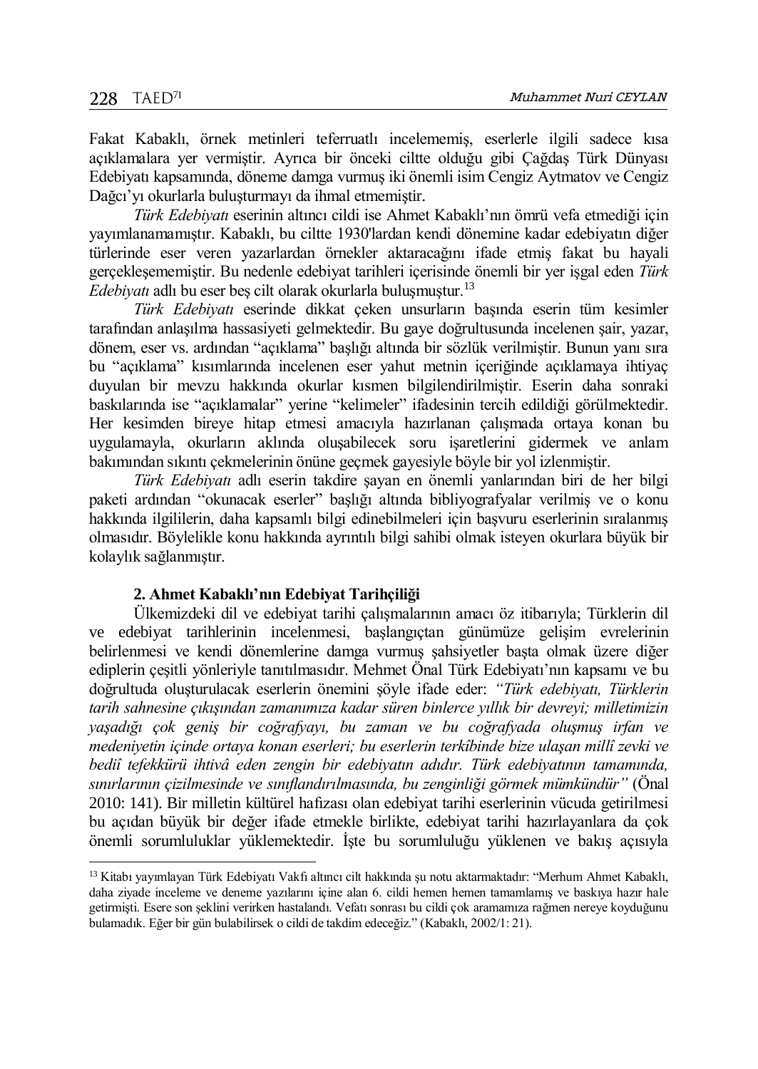$\overline{a}$ 

Fakat Kabaklı, örnek metinleri teferruatlı incelememiş, eserlerle ilgili sadece kısa açıklamalara yer vermiştir. Ayrıca bir önceki ciltte olduğu gibi Çağdaş Türk Dünyası Edebiyatı kapsamında, döneme damga vurmuş iki önemli isim Cengiz Aytmatov ve Cengiz Dağcı'yı okurlarla buluşturmayı da ihmal etmemiştir.

*Türk Edebiyatı* eserinin altıncı cildi ise Ahmet Kabaklı'nın ömrü vefa etmediği için yayımlanamamıştır. Kabaklı, bu ciltte 1930'lardan kendi dönemine kadar edebiyatın diğer türlerinde eser veren yazarlardan örnekler aktaracağını ifade etmiş fakat bu hayali gerçekleşememiştir. Bu nedenle edebiyat tarihleri içerisinde önemli bir yer işgal eden *Türk Edebiyatı* adlı bu eser beş cilt olarak okurlarla buluşmuştur.<sup>13</sup>

*Türk Edebiyatı* eserinde dikkat çeken unsurların başında eserin tüm kesimler tarafından anlaşılma hassasiyeti gelmektedir. Bu gaye doğrultusunda incelenen şair, yazar, dönem, eser vs. ardından "açıklama" başlığı altında bir sözlük verilmiştir. Bunun yanı sıra bu "açıklama" kısımlarında incelenen eser yahut metnin içeriğinde açıklamaya ihtiyaç duyulan bir mevzu hakkında okurlar kısmen bilgilendirilmiştir. Eserin daha sonraki baskılarında ise "açıklamalar" yerine "kelimeler" ifadesinin tercih edildiği görülmektedir. Her kesimden bireye hitap etmesi amacıyla hazırlanan çalışmada ortaya konan bu uygulamayla, okurların aklında oluşabilecek soru işaretlerini gidermek ve anlam bakımından sıkıntı çekmelerinin önüne geçmek gayesiyle böyle bir yol izlenmiştir.

*Türk Edebiyatı* adlı eserin takdire şayan en önemli yanlarından biri de her bilgi paketi ardından "okunacak eserler" başlığı altında bibliyografyalar verilmiş ve o konu hakkında ilgililerin, daha kapsamlı bilgi edinebilmeleri için başvuru eserlerinin sıralanmış olmasıdır. Böylelikle konu hakkında ayrıntılı bilgi sahibi olmak isteyen okurlara büyük bir kolaylık sağlanmıştır.

### **2. Ahmet Kabaklı'nın Edebiyat Tarihçiliği**

Ülkemizdeki dil ve edebiyat tarihi çalışmalarının amacı öz itibarıyla; Türklerin dil ve edebiyat tarihlerinin incelenmesi, başlangıçtan günümüze gelişim evrelerinin belirlenmesi ve kendi dönemlerine damga vurmuş şahsiyetler başta olmak üzere diğer ediplerin çeşitli yönleriyle tanıtılmasıdır. Mehmet Önal Türk Edebiyatı'nın kapsamı ve bu doğrultuda oluşturulacak eserlerin önemini şöyle ifade eder: *"Türk edebiyatı, Türklerin tarih sahnesine çıkışından zamanımıza kadar süren binlerce yıllık bir devreyi; milletimizin yaşadığı çok geniş bir coğrafyayı, bu zaman ve bu coğrafyada oluşmuş irfan ve medeniyetin içinde ortaya konan eserleri; bu eserlerin terkîbinde bize ulaşan millî zevki ve bediî tefekkürü ihtivâ eden zengin bir edebiyatın adıdır. Türk edebiyatının tamamında, sınırlarının çizilmesinde ve sınıflandırılmasında, bu zenginliği görmek mümkündür"* (Önal 2010: 141). Bir milletin kültürel hafızası olan edebiyat tarihi eserlerinin vücuda getirilmesi bu açıdan büyük bir değer ifade etmekle birlikte, edebiyat tarihi hazırlayanlara da çok önemli sorumluluklar yüklemektedir. İşte bu sorumluluğu yüklenen ve bakış açısıyla

<sup>&</sup>lt;sup>13</sup> Kitabı yayımlayan Türk Edebiyatı Vakfı altıncı cilt hakkında şu notu aktarmaktadır: "Merhum Ahmet Kabaklı, daha ziyade inceleme ve deneme yazılarını içine alan 6. cildi hemen hemen tamamlamış ve baskıya hazır hale getirmişti. Esere son şeklini verirken hastalandı. Vefatı sonrası bu cildi çok aramamıza rağmen nereye koyduğunu bulamadık. Eğer bir gün bulabilirsek o cildi de takdim edeceğiz." (Kabaklı, 2002/1: 21).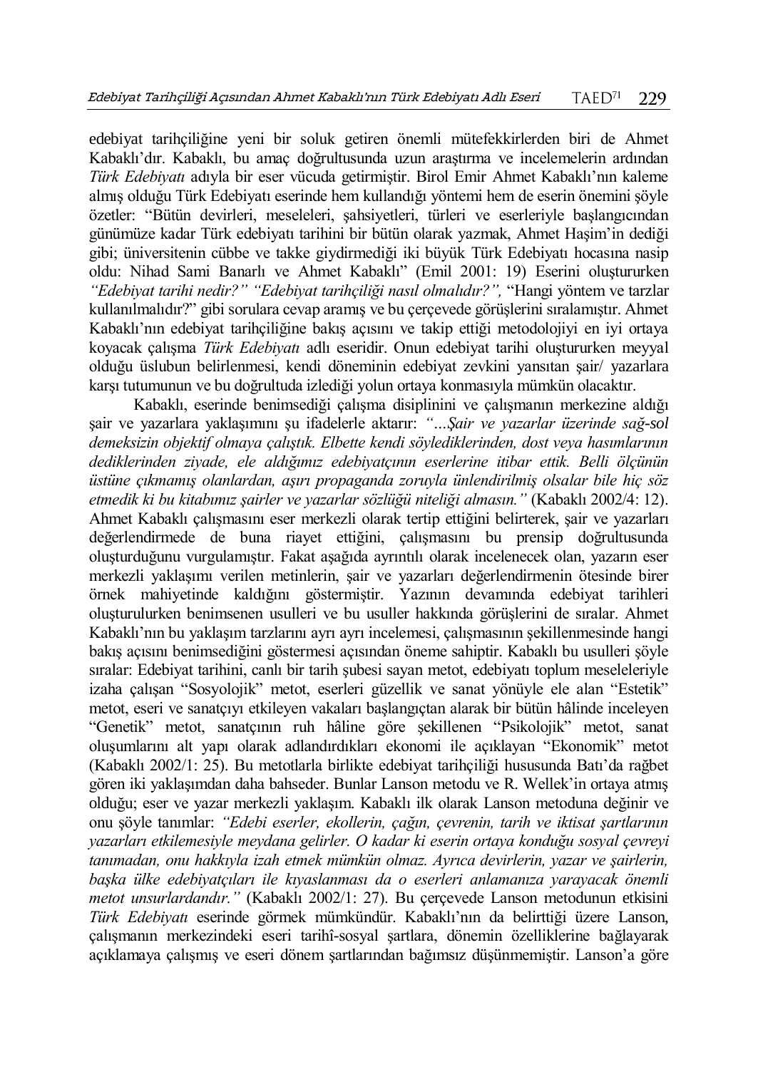edebiyat tarihçiliğine yeni bir soluk getiren önemli mütefekkirlerden biri de Ahmet Kabaklı'dır. Kabaklı, bu amaç doğrultusunda uzun araştırma ve incelemelerin ardından *Türk Edebiyatı* adıyla bir eser vücuda getirmiştir. Birol Emir Ahmet Kabaklı'nın kaleme almış olduğu Türk Edebiyatı eserinde hem kullandığı yöntemi hem de eserin önemini şöyle özetler: "Bütün devirleri, meseleleri, şahsiyetleri, türleri ve eserleriyle başlangıcından günümüze kadar Türk edebiyatı tarihini bir bütün olarak yazmak, Ahmet Haşim'in dediği gibi; üniversitenin cübbe ve takke giydirmediği iki büyük Türk Edebiyatı hocasına nasip oldu: Nihad Sami Banarlı ve Ahmet Kabaklı" (Emil 2001: 19) Eserini oluştururken *"Edebiyat tarihi nedir?" "Edebiyat tarihçiliği nasıl olmalıdır?",* "Hangi yöntem ve tarzlar kullanılmalıdır?" gibi sorulara cevap aramış ve bu çerçevede görüşlerini sıralamıştır. Ahmet Kabaklı'nın edebiyat tarihçiliğine bakış açısını ve takip ettiği metodolojiyi en iyi ortaya koyacak çalışma *Türk Edebiyatı* adlı eseridir. Onun edebiyat tarihi oluştururken meyyal olduğu üslubun belirlenmesi, kendi döneminin edebiyat zevkini yansıtan şair/ yazarlara karşı tutumunun ve bu doğrultuda izlediği yolun ortaya konmasıyla mümkün olacaktır.

Kabaklı, eserinde benimsediği çalışma disiplinini ve çalışmanın merkezine aldığı şair ve yazarlara yaklaşımını şu ifadelerle aktarır: *"…Şair ve yazarlar üzerinde sağ-sol demeksizin objektif olmaya çalıştık. Elbette kendi söylediklerinden, dost veya hasımlarının dediklerinden ziyade, ele aldığımız edebiyatçının eserlerine itibar ettik. Belli ölçünün üstüne çıkmamış olanlardan, aşırı propaganda zoruyla ünlendirilmiş olsalar bile hiç söz etmedik ki bu kitabımız şairler ve yazarlar sözlüğü niteliği almasın."* (Kabaklı 2002/4: 12). Ahmet Kabaklı çalışmasını eser merkezli olarak tertip ettiğini belirterek, şair ve yazarları değerlendirmede de buna riayet ettiğini, çalışmasını bu prensip doğrultusunda oluşturduğunu vurgulamıştır. Fakat aşağıda ayrıntılı olarak incelenecek olan, yazarın eser merkezli yaklaşımı verilen metinlerin, şair ve yazarları değerlendirmenin ötesinde birer örnek mahiyetinde kaldığını göstermiştir. Yazının devamında edebiyat tarihleri oluşturulurken benimsenen usulleri ve bu usuller hakkında görüşlerini de sıralar. Ahmet Kabaklı'nın bu yaklaşım tarzlarını ayrı ayrı incelemesi, çalışmasının şekillenmesinde hangi bakış açısını benimsediğini göstermesi açısından öneme sahiptir. Kabaklı bu usulleri şöyle sıralar: Edebiyat tarihini, canlı bir tarih şubesi sayan metot, edebiyatı toplum meseleleriyle izaha çalışan "Sosyolojik" metot, eserleri güzellik ve sanat yönüyle ele alan "Estetik" metot, eseri ve sanatçıyı etkileyen vakaları başlangıçtan alarak bir bütün hâlinde inceleyen "Genetik" metot, sanatçının ruh hâline göre şekillenen "Psikolojik" metot, sanat oluşumlarını alt yapı olarak adlandırdıkları ekonomi ile açıklayan "Ekonomik" metot (Kabaklı 2002/1: 25). Bu metotlarla birlikte edebiyat tarihçiliği hususunda Batı'da rağbet gören iki yaklaşımdan daha bahseder. Bunlar Lanson metodu ve R. Wellek'in ortaya atmış olduğu; eser ve yazar merkezli yaklaşım. Kabaklı ilk olarak Lanson metoduna değinir ve onu şöyle tanımlar: *"Edebi eserler, ekollerin, çağın, çevrenin, tarih ve iktisat şartlarının yazarları etkilemesiyle meydana gelirler. O kadar ki eserin ortaya konduğu sosyal çevreyi tanımadan, onu hakkıyla izah etmek mümkün olmaz. Ayrıca devirlerin, yazar ve şairlerin, başka ülke edebiyatçıları ile kıyaslanması da o eserleri anlamanıza yarayacak önemli metot unsurlardandır."* (Kabaklı 2002/1: 27). Bu çerçevede Lanson metodunun etkisini *Türk Edebiyatı* eserinde görmek mümkündür. Kabaklı'nın da belirttiği üzere Lanson, çalışmanın merkezindeki eseri tarihî-sosyal şartlara, dönemin özelliklerine bağlayarak açıklamaya çalışmış ve eseri dönem şartlarından bağımsız düşünmemiştir. Lanson'a göre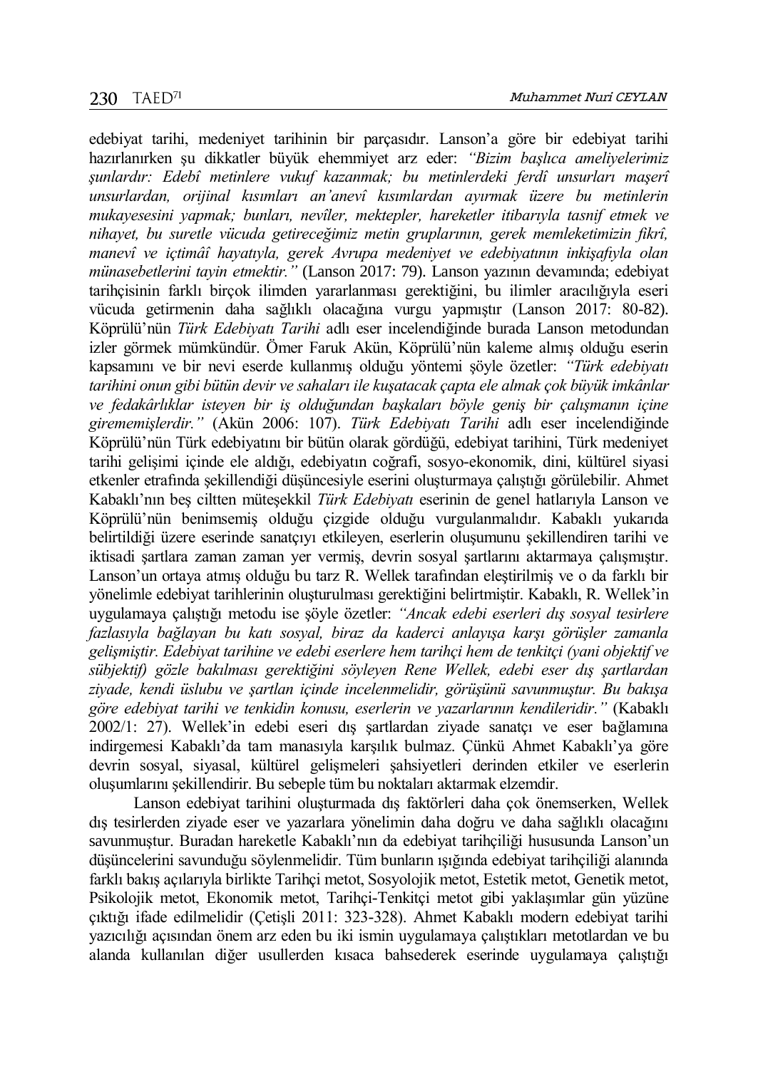edebiyat tarihi, medeniyet tarihinin bir parçasıdır. Lanson'a göre bir edebiyat tarihi hazırlanırken şu dikkatler büyük ehemmiyet arz eder: *"Bizim başlıca ameliyelerimiz şunlardır: Edebî metinlere vukuf kazanmak; bu metinlerdeki ferdî unsurları maşerî unsurlardan, orijinal kısımları an'anevî kısımlardan ayırmak üzere bu metinlerin mukayesesini yapmak; bunları, nevîler, mektepler, hareketler itibarıyla tasnif etmek ve nihayet, bu suretle vücuda getireceğimiz metin gruplarının, gerek memleketimizin fikrî, manevî ve içtimâî hayatıyla, gerek Avrupa medeniyet ve edebiyatının inkişafıyla olan münasebetlerini tayin etmektir."* (Lanson 2017: 79). Lanson yazının devamında; edebiyat tarihçisinin farklı birçok ilimden yararlanması gerektiğini, bu ilimler aracılığıyla eseri vücuda getirmenin daha sağlıklı olacağına vurgu yapmıştır (Lanson 2017: 80-82). Köprülü'nün *Türk Edebiyatı Tarihi* adlı eser incelendiğinde burada Lanson metodundan izler görmek mümkündür. Ömer Faruk Akün, Köprülü'nün kaleme almış olduğu eserin kapsamını ve bir nevi eserde kullanmış olduğu yöntemi şöyle özetler: *"Türk edebiyatı tarihini onun gibi bütün devir ve sahaları ile kuşatacak çapta ele almak çok büyük imkânlar ve fedakârlıklar isteyen bir iş olduğundan başkaları böyle geniş bir çalışmanın içine girememişlerdir."* (Akün 2006: 107). *Türk Edebiyatı Tarihi* adlı eser incelendiğinde Köprülü'nün Türk edebiyatını bir bütün olarak gördüğü, edebiyat tarihini, Türk medeniyet tarihi gelişimi içinde ele aldığı, edebiyatın coğrafi, sosyo-ekonomik, dini, kültürel siyasi etkenler etrafında şekillendiği düşüncesiyle eserini oluşturmaya çalıştığı görülebilir. Ahmet Kabaklı'nın beş ciltten müteşekkil *Türk Edebiyatı* eserinin de genel hatlarıyla Lanson ve Köprülü'nün benimsemiş olduğu çizgide olduğu vurgulanmalıdır. Kabaklı yukarıda belirtildiği üzere eserinde sanatçıyı etkileyen, eserlerin oluşumunu şekillendiren tarihi ve iktisadi şartlara zaman zaman yer vermiş, devrin sosyal şartlarını aktarmaya çalışmıştır. Lanson'un ortaya atmış olduğu bu tarz R. Wellek tarafından eleştirilmiş ve o da farklı bir yönelimle edebiyat tarihlerinin oluşturulması gerektiğini belirtmiştir. Kabaklı, R. Wellek'in uygulamaya çalıştığı metodu ise şöyle özetler: *"Ancak edebi eserleri dış sosyal tesirlere fazlasıyla bağlayan bu katı sosyal, biraz da kaderci anlayışa karşı görüşler zamanla gelişmiştir. Edebiyat tarihine ve edebi eserlere hem tarihçi hem de tenkitçi (yani objektif ve sübjektif) gözle bakılması gerektiğini söyleyen Rene Wellek, edebi eser dış şartlardan ziyade, kendi üslubu ve şartlan içinde incelenmelidir, görüşünü savunmuştur. Bu bakışa göre edebiyat tarihi ve tenkidin konusu, eserlerin ve yazarlarının kendileridir."* (Kabaklı 2002/1: 27). Wellek'in edebi eseri dış şartlardan ziyade sanatçı ve eser bağlamına indirgemesi Kabaklı'da tam manasıyla karşılık bulmaz. Çünkü Ahmet Kabaklı'ya göre devrin sosyal, siyasal, kültürel gelişmeleri şahsiyetleri derinden etkiler ve eserlerin oluşumlarını şekillendirir. Bu sebeple tüm bu noktaları aktarmak elzemdir.

Lanson edebiyat tarihini oluşturmada dış faktörleri daha çok önemserken, Wellek dış tesirlerden ziyade eser ve yazarlara yönelimin daha doğru ve daha sağlıklı olacağını savunmuştur. Buradan hareketle Kabaklı'nın da edebiyat tarihçiliği hususunda Lanson'un düşüncelerini savunduğu söylenmelidir. Tüm bunların ışığında edebiyat tarihçiliği alanında farklı bakış açılarıyla birlikte Tarihçi metot, Sosyolojik metot, Estetik metot, Genetik metot, Psikolojik metot, Ekonomik metot, Tarihçi-Tenkitçi metot gibi yaklaşımlar gün yüzüne çıktığı ifade edilmelidir (Çetişli 2011: 323-328). Ahmet Kabaklı modern edebiyat tarihi yazıcılığı açısından önem arz eden bu iki ismin uygulamaya çalıştıkları metotlardan ve bu alanda kullanılan diğer usullerden kısaca bahsederek eserinde uygulamaya çalıştığı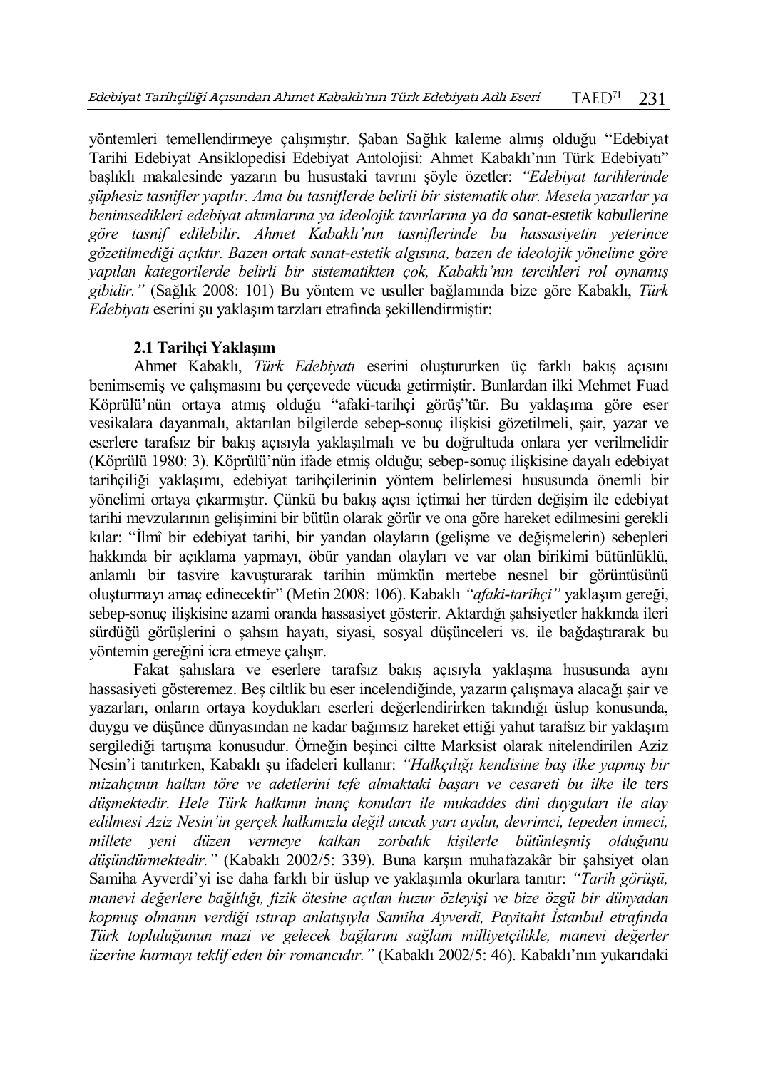yöntemleri temellendirmeye çalışmıştır. Şaban Sağlık kaleme almış olduğu "Edebiyat Tarihi Edebiyat Ansiklopedisi Edebiyat Antolojisi: Ahmet Kabaklı'nın Türk Edebiyatı" başlıklı makalesinde yazarın bu husustaki tavrını şöyle özetler: *"Edebiyat tarihlerinde şüphesiz tasnifler yapılır. Ama bu tasniflerde belirli bir sistematik olur. Mesela yazarlar ya benimsedikleri edebiyat akımlarına ya ideolojik tavırlarına ya da sanat-estetik kabullerine göre tasnif edilebilir. Ahmet Kabaklı'nın tasniflerinde bu hassasiyetin yeterince gözetilmediği açıktır. Bazen ortak sanat-estetik algısına, bazen de ideolojik yönelime göre yapılan kategorilerde belirli bir sistematikten çok, Kabaklı'nın tercihleri rol oynamış gibidir."* (Sağlık 2008: 101) Bu yöntem ve usuller bağlamında bize göre Kabaklı, *Türk Edebiyatı* eserini şu yaklaşım tarzları etrafında şekillendirmiştir:

# **2.1 Tarihçi Yaklaşım**

Ahmet Kabaklı, *Türk Edebiyatı* eserini oluştururken üç farklı bakış açısını benimsemiş ve çalışmasını bu çerçevede vücuda getirmiştir. Bunlardan ilki Mehmet Fuad Köprülü'nün ortaya atmış olduğu "afaki-tarihçi görüş"tür. Bu yaklaşıma göre eser vesikalara dayanmalı, aktarılan bilgilerde sebep-sonuç ilişkisi gözetilmeli, şair, yazar ve eserlere tarafsız bir bakış açısıyla yaklaşılmalı ve bu doğrultuda onlara yer verilmelidir (Köprülü 1980: 3). Köprülü'nün ifade etmiş olduğu; sebep-sonuç ilişkisine dayalı edebiyat tarihçiliği yaklaşımı, edebiyat tarihçilerinin yöntem belirlemesi hususunda önemli bir yönelimi ortaya çıkarmıştır. Çünkü bu bakış açısı içtimai her türden değişim ile edebiyat tarihi mevzularının gelişimini bir bütün olarak görür ve ona göre hareket edilmesini gerekli kılar: "İlmî bir edebiyat tarihi, bir yandan olayların (gelişme ve değişmelerin) sebepleri hakkında bir açıklama yapmayı, öbür yandan olayları ve var olan birikimi bütünlüklü, anlamlı bir tasvire kavuşturarak tarihin mümkün mertebe nesnel bir görüntüsünü oluşturmayı amaç edinecektir" (Metin 2008: 106). Kabaklı *"afaki-tarihçi"* yaklaşım gereği, sebep-sonuç ilişkisine azami oranda hassasiyet gösterir. Aktardığı şahsiyetler hakkında ileri sürdüğü görüşlerini o şahsın hayatı, siyasi, sosyal düşünceleri vs. ile bağdaştırarak bu yöntemin gereğini icra etmeye çalışır.

Fakat şahıslara ve eserlere tarafsız bakış açısıyla yaklaşma hususunda aynı hassasiyeti gösteremez. Beş ciltlik bu eser incelendiğinde, yazarın çalışmaya alacağı şair ve yazarları, onların ortaya koydukları eserleri değerlendirirken takındığı üslup konusunda, duygu ve düşünce dünyasından ne kadar bağımsız hareket ettiği yahut tarafsız bir yaklaşım sergilediği tartışma konusudur. Örneğin beşinci ciltte Marksist olarak nitelendirilen Aziz Nesin'i tanıtırken, Kabaklı şu ifadeleri kullanır: *"Halkçılığı kendisine baş ilke yapmış bir mizahçının halkın töre ve adetlerini tefe almaktaki başarı ve cesareti bu ilke ile ters düşmektedir. Hele Türk halkının inanç konuları ile mukaddes dini duyguları ile alay edilmesi Aziz Nesin'in gerçek halkımızla değil ancak yarı aydın, devrimci, tepeden inmeci, millete yeni düzen vermeye kalkan zorbalık kişilerle bütünleşmiş olduğunu düşündürmektedir."* (Kabaklı 2002/5: 339). Buna karşın muhafazakâr bir şahsiyet olan Samiha Ayverdi'yi ise daha farklı bir üslup ve yaklaşımla okurlara tanıtır: *"Tarih görüşü, manevi değerlere bağlılığı, fizik ötesine açılan huzur özleyişi ve bize özgü bir dünyadan kopmuş olmanın verdiği ıstırap anlatışıyla Samiha Ayverdi, Payitaht İstanbul etrafında Türk topluluğunun mazi ve gelecek bağlarını sağlam milliyetçilikle, manevi değerler üzerine kurmayı teklif eden bir romancıdır."* (Kabaklı 2002/5: 46). Kabaklı'nın yukarıdaki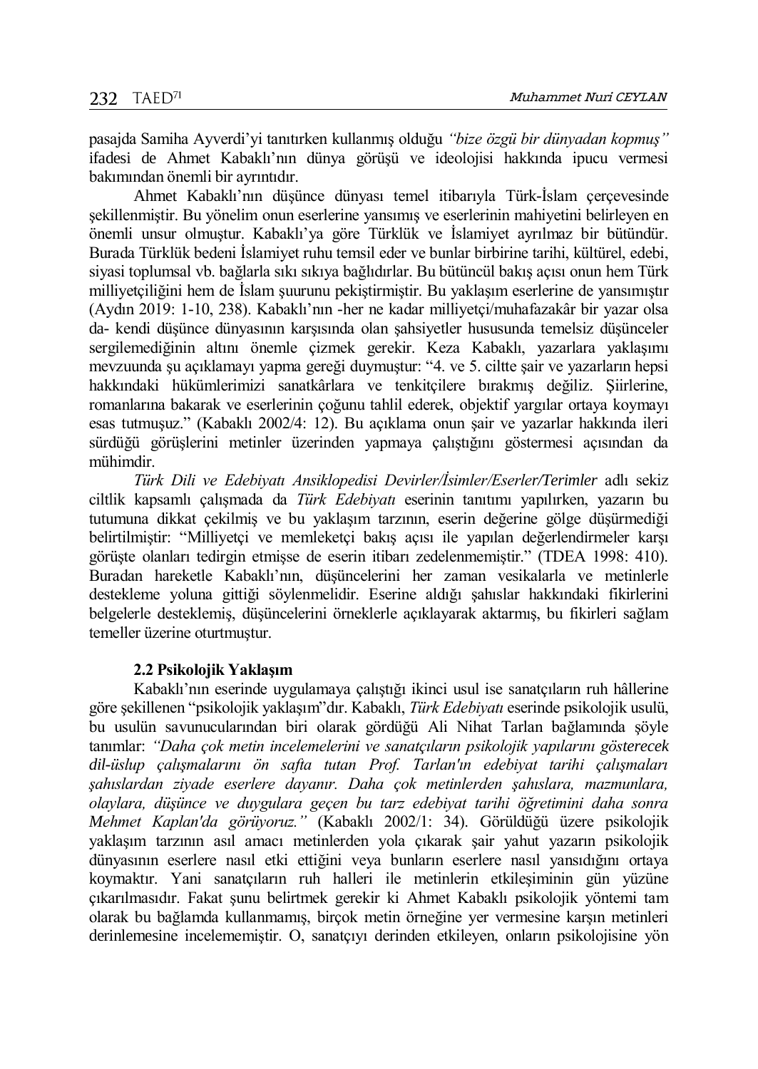pasajda Samiha Ayverdi'yi tanıtırken kullanmış olduğu *"bize özgü bir dünyadan kopmuş"* ifadesi de Ahmet Kabaklı'nın dünya görüşü ve ideolojisi hakkında ipucu vermesi bakımından önemli bir ayrıntıdır.

Ahmet Kabaklı'nın düşünce dünyası temel itibarıyla Türk-İslam çerçevesinde şekillenmiştir. Bu yönelim onun eserlerine yansımış ve eserlerinin mahiyetini belirleyen en önemli unsur olmuştur. Kabaklı'ya göre Türklük ve İslamiyet ayrılmaz bir bütündür. Burada Türklük bedeni İslamiyet ruhu temsil eder ve bunlar birbirine tarihi, kültürel, edebi, siyasi toplumsal vb. bağlarla sıkı sıkıya bağlıdırlar. Bu bütüncül bakış açısı onun hem Türk milliyetçiliğini hem de İslam şuurunu pekiştirmiştir. Bu yaklaşım eserlerine de yansımıştır (Aydın 2019: 1-10, 238). Kabaklı'nın -her ne kadar milliyetçi/muhafazakâr bir yazar olsa da- kendi düşünce dünyasının karşısında olan şahsiyetler hususunda temelsiz düşünceler sergilemediğinin altını önemle çizmek gerekir. Keza Kabaklı, yazarlara yaklaşımı mevzuunda şu açıklamayı yapma gereği duymuştur: "4. ve 5. ciltte şair ve yazarların hepsi hakkındaki hükümlerimizi sanatkârlara ve tenkitçilere bırakmış değiliz. Şiirlerine, romanlarına bakarak ve eserlerinin çoğunu tahlil ederek, objektif yargılar ortaya koymayı esas tutmuşuz." (Kabaklı 2002/4: 12). Bu açıklama onun şair ve yazarlar hakkında ileri sürdüğü görüşlerini metinler üzerinden yapmaya çalıştığını göstermesi açısından da mühimdir.

*Türk Dili ve Edebiyatı Ansiklopedisi Devirler/İsimler/Eserler/Terimler* adlı sekiz ciltlik kapsamlı çalışmada da *Türk Edebiyatı* eserinin tanıtımı yapılırken, yazarın bu tutumuna dikkat çekilmiş ve bu yaklaşım tarzının, eserin değerine gölge düşürmediği belirtilmiştir: "Milliyetçi ve memleketçi bakış açısı ile yapılan değerlendirmeler karşı görüşte olanları tedirgin etmişse de eserin itibarı zedelenmemiştir." (TDEA 1998: 410). Buradan hareketle Kabaklı'nın, düşüncelerini her zaman vesikalarla ve metinlerle destekleme yoluna gittiği söylenmelidir. Eserine aldığı şahıslar hakkındaki fikirlerini belgelerle desteklemiş, düşüncelerini örneklerle açıklayarak aktarmış, bu fikirleri sağlam temeller üzerine oturtmuştur.

# **2.2 Psikolojik Yaklaşım**

Kabaklı'nın eserinde uygulamaya çalıştığı ikinci usul ise sanatçıların ruh hâllerine göre şekillenen "psikolojik yaklaşım"dır. Kabaklı, *Türk Edebiyatı* eserinde psikolojik usulü, bu usulün savunucularından biri olarak gördüğü Ali Nihat Tarlan bağlamında şöyle tanımlar: *"Daha çok metin incelemelerini ve sanatçıların psikolojik yapılarını gösterecek dil-üslup çalışmalarını ön safta tutan Prof. Tarlan'ın edebiyat tarihi çalışmaları şahıslardan ziyade eserlere dayanır. Daha çok metinlerden şahıslara, mazmunlara, olaylara, düşünce ve duygulara geçen bu tarz edebiyat tarihi öğretimini daha sonra Mehmet Kaplan'da görüyoruz."* (Kabaklı 2002/1: 34). Görüldüğü üzere psikolojik yaklaşım tarzının asıl amacı metinlerden yola çıkarak şair yahut yazarın psikolojik dünyasının eserlere nasıl etki ettiğini veya bunların eserlere nasıl yansıdığını ortaya koymaktır. Yani sanatçıların ruh halleri ile metinlerin etkileşiminin gün yüzüne çıkarılmasıdır. Fakat şunu belirtmek gerekir ki Ahmet Kabaklı psikolojik yöntemi tam olarak bu bağlamda kullanmamış, birçok metin örneğine yer vermesine karşın metinleri derinlemesine incelememiştir. O, sanatçıyı derinden etkileyen, onların psikolojisine yön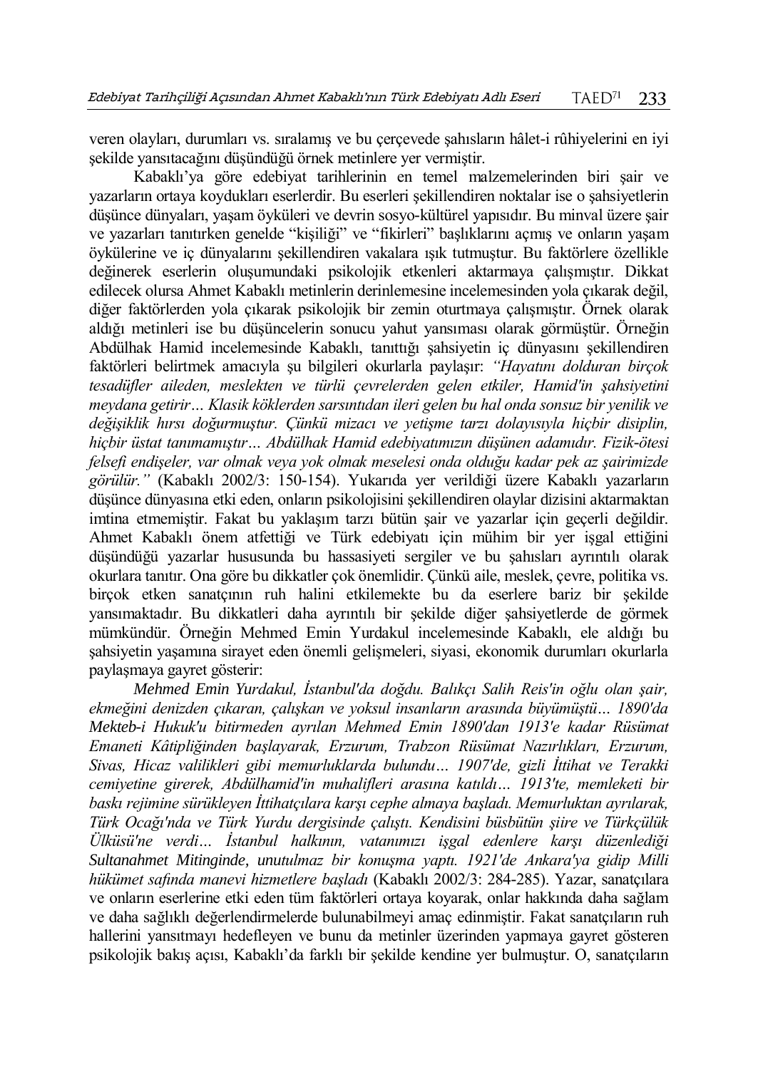veren olayları, durumları vs. sıralamış ve bu çerçevede şahısların hâlet-i rûhiyelerini en iyi şekilde yansıtacağını düşündüğü örnek metinlere yer vermiştir.

Kabaklı'ya göre edebiyat tarihlerinin en temel malzemelerinden biri şair ve yazarların ortaya koydukları eserlerdir. Bu eserleri şekillendiren noktalar ise o şahsiyetlerin düşünce dünyaları, yaşam öyküleri ve devrin sosyo-kültürel yapısıdır. Bu minval üzere şair ve yazarları tanıtırken genelde "kişiliği" ve "fikirleri" başlıklarını açmış ve onların yaşam öykülerine ve iç dünyalarını şekillendiren vakalara ışık tutmuştur. Bu faktörlere özellikle değinerek eserlerin oluşumundaki psikolojik etkenleri aktarmaya çalışmıştır. Dikkat edilecek olursa Ahmet Kabaklı metinlerin derinlemesine incelemesinden yola çıkarak değil, diğer faktörlerden yola çıkarak psikolojik bir zemin oturtmaya çalışmıştır. Örnek olarak aldığı metinleri ise bu düşüncelerin sonucu yahut yansıması olarak görmüştür. Örneğin Abdülhak Hamid incelemesinde Kabaklı, tanıttığı şahsiyetin iç dünyasını şekillendiren faktörleri belirtmek amacıyla şu bilgileri okurlarla paylaşır: *"Hayatını dolduran birçok tesadüfler aileden, meslekten ve türlü çevrelerden gelen etkiler, Hamid'in şahsiyetini meydana getirir… Klasik köklerden sarsıntıdan ileri gelen bu hal onda sonsuz bir yenilik ve değişiklik hırsı doğurmuştur. Çünkü mizacı ve yetişme tarzı dolayısıyla hiçbir disiplin, hiçbir üstat tanımamıştır… Abdülhak Hamid edebiyatımızın düşünen adamıdır. Fizik-ötesi felsefi endişeler, var olmak veya yok olmak meselesi onda olduğu kadar pek az şairimizde görülür."* (Kabaklı 2002/3: 150-154). Yukarıda yer verildiği üzere Kabaklı yazarların düşünce dünyasına etki eden, onların psikolojisini şekillendiren olaylar dizisini aktarmaktan imtina etmemiştir. Fakat bu yaklaşım tarzı bütün şair ve yazarlar için geçerli değildir. Ahmet Kabaklı önem atfettiği ve Türk edebiyatı için mühim bir yer işgal ettiğini düşündüğü yazarlar hususunda bu hassasiyeti sergiler ve bu şahısları ayrıntılı olarak okurlara tanıtır. Ona göre bu dikkatler çok önemlidir. Çünkü aile, meslek, çevre, politika vs. birçok etken sanatçının ruh halini etkilemekte bu da eserlere bariz bir şekilde yansımaktadır. Bu dikkatleri daha ayrıntılı bir şekilde diğer şahsiyetlerde de görmek mümkündür. Örneğin Mehmed Emin Yurdakul incelemesinde Kabaklı, ele aldığı bu şahsiyetin yaşamına sirayet eden önemli gelişmeleri, siyasi, ekonomik durumları okurlarla paylaşmaya gayret gösterir:

*Mehmed Emin Yurdakul, İstanbul'da doğdu. Balıkçı Salih Reis'in oğlu olan şair, ekmeğini denizden çıkaran, çalışkan ve yoksul insanların arasında büyümüştü… 1890'da Mekteb-i Hukuk'u bitirmeden ayrılan Mehmed Emin 1890'dan 1913'e kadar Rüsümat Emaneti Kâtipliğinden başlayarak, Erzurum, Trabzon Rüsümat Nazırlıkları, Erzurum, Sivas, Hicaz valilikleri gibi memurluklarda bulundu… 1907'de, gizli İttihat ve Terakki cemiyetine girerek, Abdülhamid'in muhalifleri arasına katıldı… 1913'te, memleketi bir baskı rejimine sürükleyen İttihatçılara karşı cephe almaya başladı. Memurluktan ayrılarak, Türk Ocağı'nda ve Türk Yurdu dergisinde çalıştı. Kendisini büsbütün şiire ve Türkçülük Ülküsü'ne verdi… İstanbul halkının, vatanımızı işgal edenlere karşı düzenlediği Sultanahmet Mitinginde, unutulmaz bir konuşma yaptı. 1921'de Ankara'ya gidip Milli hükümet safında manevi hizmetlere başladı* (Kabaklı 2002/3: 284-285). Yazar, sanatçılara ve onların eserlerine etki eden tüm faktörleri ortaya koyarak, onlar hakkında daha sağlam ve daha sağlıklı değerlendirmelerde bulunabilmeyi amaç edinmiştir. Fakat sanatçıların ruh hallerini yansıtmayı hedefleyen ve bunu da metinler üzerinden yapmaya gayret gösteren psikolojik bakış açısı, Kabaklı'da farklı bir şekilde kendine yer bulmuştur. O, sanatçıların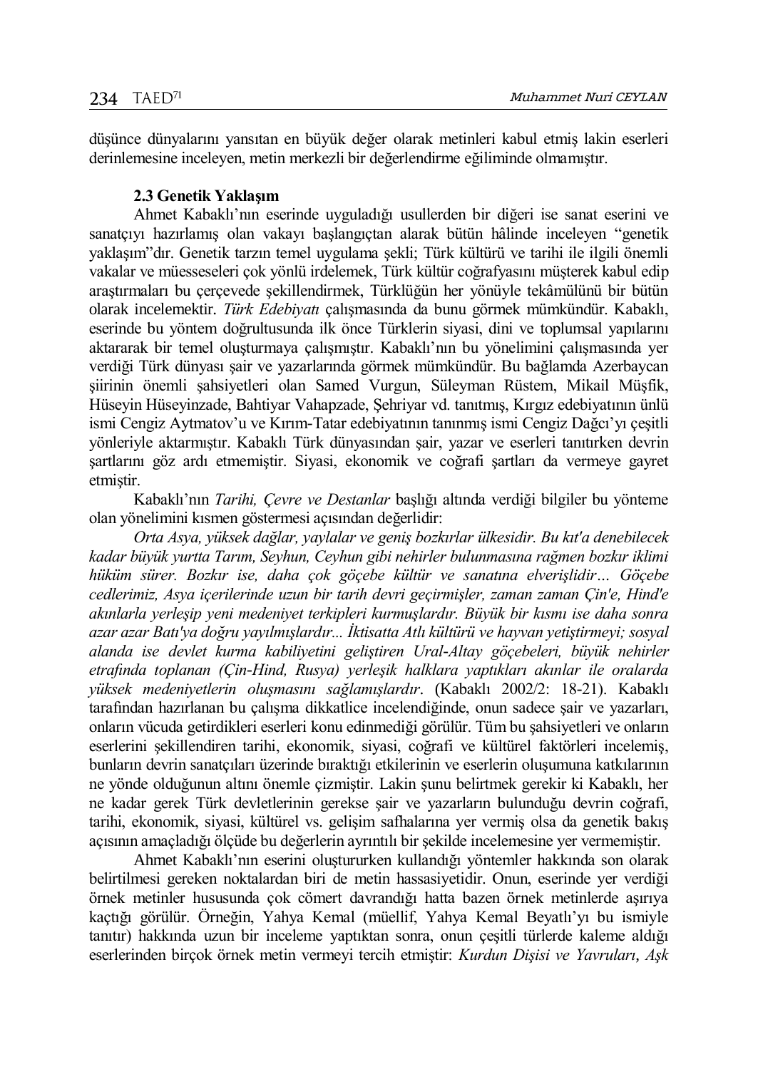düşünce dünyalarını yansıtan en büyük değer olarak metinleri kabul etmiş lakin eserleri derinlemesine inceleyen, metin merkezli bir değerlendirme eğiliminde olmamıştır.

### **2.3 Genetik Yaklaşım**

Ahmet Kabaklı'nın eserinde uyguladığı usullerden bir diğeri ise sanat eserini ve sanatçıyı hazırlamış olan vakayı başlangıçtan alarak bütün hâlinde inceleyen "genetik yaklaşım"dır. Genetik tarzın temel uygulama şekli; Türk kültürü ve tarihi ile ilgili önemli vakalar ve müesseseleri çok yönlü irdelemek, Türk kültür coğrafyasını müşterek kabul edip araştırmaları bu çerçevede şekillendirmek, Türklüğün her yönüyle tekâmülünü bir bütün olarak incelemektir. *Türk Edebiyatı* çalışmasında da bunu görmek mümkündür. Kabaklı, eserinde bu yöntem doğrultusunda ilk önce Türklerin siyasi, dini ve toplumsal yapılarını aktararak bir temel oluşturmaya çalışmıştır. Kabaklı'nın bu yönelimini çalışmasında yer verdiği Türk dünyası şair ve yazarlarında görmek mümkündür. Bu bağlamda Azerbaycan şiirinin önemli şahsiyetleri olan Samed Vurgun, Süleyman Rüstem, Mikail Müşfik, Hüseyin Hüseyinzade, Bahtiyar Vahapzade, Şehriyar vd. tanıtmış, Kırgız edebiyatının ünlü ismi Cengiz Aytmatov'u ve Kırım-Tatar edebiyatının tanınmış ismi Cengiz Dağcı'yı çeşitli yönleriyle aktarmıştır. Kabaklı Türk dünyasından şair, yazar ve eserleri tanıtırken devrin şartlarını göz ardı etmemiştir. Siyasi, ekonomik ve coğrafi şartları da vermeye gayret etmiştir.

Kabaklı'nın *Tarihi, Çevre ve Destanlar* başlığı altında verdiği bilgiler bu yönteme olan yönelimini kısmen göstermesi açısından değerlidir:

*Orta Asya, yüksek dağlar, yaylalar ve geniş bozkırlar ülkesidir. Bu kıt'a denebilecek kadar büyük yurtta Tarım, Seyhun, Ceyhun gibi nehirler bulunmasına rağmen bozkır iklimi hüküm sürer. Bozkır ise, daha çok göçebe kültür ve sanatına elverişlidir… Göçebe cedlerimiz, Asya içerilerinde uzun bir tarih devri geçirmişler, zaman zaman Çin'e, Hind'e akınlarla yerleşip yeni medeniyet terkipleri kurmuşlardır. Büyük bir kısmı ise daha sonra azar azar Batı'ya doğru yayılmışlardır... İktisatta Atlı kültürü ve hayvan yetiştirmeyi; sosyal alanda ise devlet kurma kabiliyetini geliştiren Ural-Altay göçebeleri, büyük nehirler etrafında toplanan (Çin-Hind, Rusya) yerleşik halklara yaptıkları akınlar ile oralarda yüksek medeniyetlerin oluşmasını sağlamışlardır*. (Kabaklı 2002/2: 18-21). Kabaklı tarafından hazırlanan bu çalışma dikkatlice incelendiğinde, onun sadece şair ve yazarları, onların vücuda getirdikleri eserleri konu edinmediği görülür. Tüm bu şahsiyetleri ve onların eserlerini şekillendiren tarihi, ekonomik, siyasi, coğrafi ve kültürel faktörleri incelemiş, bunların devrin sanatçıları üzerinde bıraktığı etkilerinin ve eserlerin oluşumuna katkılarının ne yönde olduğunun altını önemle çizmiştir. Lakin şunu belirtmek gerekir ki Kabaklı, her ne kadar gerek Türk devletlerinin gerekse şair ve yazarların bulunduğu devrin coğrafi, tarihi, ekonomik, siyasi, kültürel vs. gelişim safhalarına yer vermiş olsa da genetik bakış açısının amaçladığı ölçüde bu değerlerin ayrıntılı bir şekilde incelemesine yer vermemiştir.

Ahmet Kabaklı'nın eserini oluştururken kullandığı yöntemler hakkında son olarak belirtilmesi gereken noktalardan biri de metin hassasiyetidir. Onun, eserinde yer verdiği örnek metinler hususunda çok cömert davrandığı hatta bazen örnek metinlerde aşırıya kaçtığı görülür. Örneğin, Yahya Kemal (müellif, Yahya Kemal Beyatlı'yı bu ismiyle tanıtır) hakkında uzun bir inceleme yaptıktan sonra, onun çeşitli türlerde kaleme aldığı eserlerinden birçok örnek metin vermeyi tercih etmiştir: *Kurdun Dişisi ve Yavruları*, *Aşk*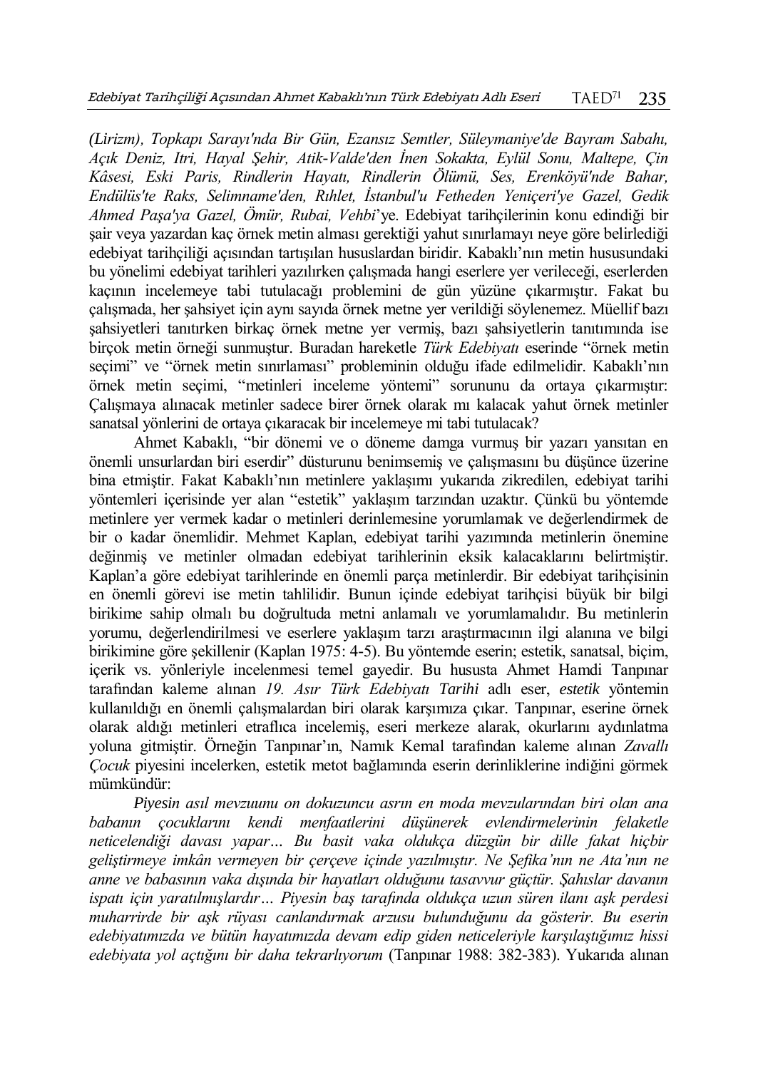*(Lirizm), Topkapı Sarayı'nda Bir Gün, Ezansız Semtler, Süleymaniye'de Bayram Sabahı, Açık Deniz, Itri, Hayal Şehir, Atik-Valde'den İnen Sokakta, Eylül Sonu, Maltepe, Çin Kâsesi, Eski Paris, Rindlerin Hayatı, Rindlerin Ölümü, Ses, Erenköyü'nde Bahar, Endülüs'te Raks, Selimname'den, Rıhlet, İstanbul'u Fetheden Yeniçeri'ye Gazel, Gedik Ahmed Paşa'ya Gazel, Ömür, Rubai, Vehbi*'ye. Edebiyat tarihçilerinin konu edindiği bir şair veya yazardan kaç örnek metin alması gerektiği yahut sınırlamayı neye göre belirlediği edebiyat tarihçiliği açısından tartışılan hususlardan biridir. Kabaklı'nın metin hususundaki bu yönelimi edebiyat tarihleri yazılırken çalışmada hangi eserlere yer verileceği, eserlerden kaçının incelemeye tabi tutulacağı problemini de gün yüzüne çıkarmıştır. Fakat bu çalışmada, her şahsiyet için aynı sayıda örnek metne yer verildiği söylenemez. Müellif bazı şahsiyetleri tanıtırken birkaç örnek metne yer vermiş, bazı şahsiyetlerin tanıtımında ise birçok metin örneği sunmuştur. Buradan hareketle *Türk Edebiyatı* eserinde "örnek metin seçimi" ve "örnek metin sınırlaması" probleminin olduğu ifade edilmelidir. Kabaklı'nın örnek metin seçimi, "metinleri inceleme yöntemi" sorununu da ortaya çıkarmıştır: Çalışmaya alınacak metinler sadece birer örnek olarak mı kalacak yahut örnek metinler sanatsal yönlerini de ortaya çıkaracak bir incelemeye mi tabi tutulacak?

Ahmet Kabaklı, "bir dönemi ve o döneme damga vurmuş bir yazarı yansıtan en önemli unsurlardan biri eserdir" düsturunu benimsemiş ve çalışmasını bu düşünce üzerine bina etmiştir. Fakat Kabaklı'nın metinlere yaklaşımı yukarıda zikredilen, edebiyat tarihi yöntemleri içerisinde yer alan "estetik" yaklaşım tarzından uzaktır. Çünkü bu yöntemde metinlere yer vermek kadar o metinleri derinlemesine yorumlamak ve değerlendirmek de bir o kadar önemlidir. Mehmet Kaplan, edebiyat tarihi yazımında metinlerin önemine değinmiş ve metinler olmadan edebiyat tarihlerinin eksik kalacaklarını belirtmiştir. Kaplan'a göre edebiyat tarihlerinde en önemli parça metinlerdir. Bir edebiyat tarihçisinin en önemli görevi ise metin tahlilidir. Bunun içinde edebiyat tarihçisi büyük bir bilgi birikime sahip olmalı bu doğrultuda metni anlamalı ve yorumlamalıdır. Bu metinlerin yorumu, değerlendirilmesi ve eserlere yaklaşım tarzı araştırmacının ilgi alanına ve bilgi birikimine göre şekillenir (Kaplan 1975: 4-5). Bu yöntemde eserin; estetik, sanatsal, biçim, içerik vs. yönleriyle incelenmesi temel gayedir. Bu hususta Ahmet Hamdi Tanpınar tarafından kaleme alınan *19. Asır Türk Edebiyatı Tarihi* adlı eser, *estetik* yöntemin kullanıldığı en önemli çalışmalardan biri olarak karşımıza çıkar. Tanpınar, eserine örnek olarak aldığı metinleri etraflıca incelemiş, eseri merkeze alarak, okurlarını aydınlatma yoluna gitmiştir. Örneğin Tanpınar'ın, Namık Kemal tarafından kaleme alınan *Zavallı Çocuk* piyesini incelerken, estetik metot bağlamında eserin derinliklerine indiğini görmek mümkündür:

*Piyesin asıl mevzuunu on dokuzuncu asrın en moda mevzularından biri olan ana babanın çocuklarını kendi menfaatlerini düşünerek evlendirmelerinin felaketle neticelendiği davası yapar… Bu basit vaka oldukça düzgün bir dille fakat hiçbir geliştirmeye imkân vermeyen bir çerçeve içinde yazılmıştır. Ne Şefika'nın ne Ata'nın ne anne ve babasının vaka dışında bir hayatları olduğunu tasavvur güçtür. Şahıslar davanın ispatı için yaratılmışlardır… Piyesin baş tarafında oldukça uzun süren ilanı aşk perdesi muharrirde bir aşk rüyası canlandırmak arzusu bulunduğunu da gösterir. Bu eserin edebiyatımızda ve bütün hayatımızda devam edip giden neticeleriyle karşılaştığımız hissi edebiyata yol açtığını bir daha tekrarlıyorum* (Tanpınar 1988: 382-383). Yukarıda alınan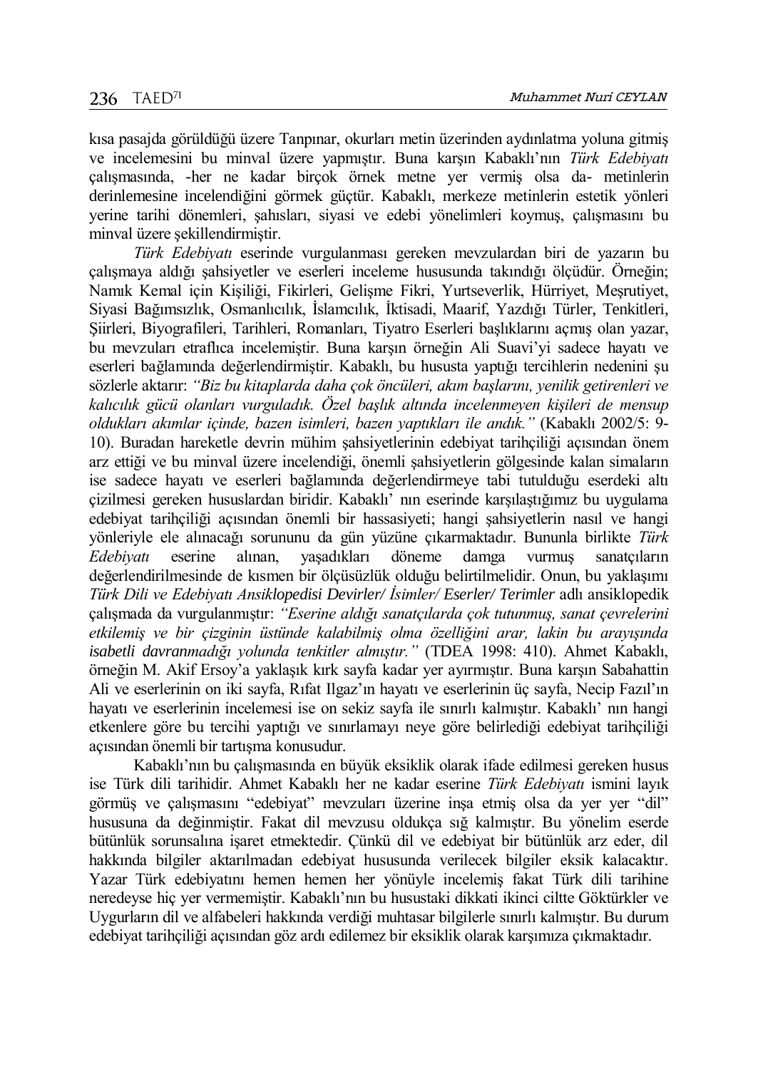kısa pasajda görüldüğü üzere Tanpınar, okurları metin üzerinden aydınlatma yoluna gitmiş ve incelemesini bu minval üzere yapmıştır. Buna karşın Kabaklı'nın *Türk Edebiyatı* çalışmasında, -her ne kadar birçok örnek metne yer vermiş olsa da- metinlerin derinlemesine incelendiğini görmek güçtür. Kabaklı, merkeze metinlerin estetik yönleri yerine tarihi dönemleri, şahısları, siyasi ve edebi yönelimleri koymuş, çalışmasını bu minval üzere şekillendirmiştir.

*Türk Edebiyatı* eserinde vurgulanması gereken mevzulardan biri de yazarın bu çalışmaya aldığı şahsiyetler ve eserleri inceleme hususunda takındığı ölçüdür. Örneğin; Namık Kemal için Kişiliği, Fikirleri, Gelişme Fikri, Yurtseverlik, Hürriyet, Meşrutiyet, Siyasi Bağımsızlık, Osmanlıcılık, İslamcılık, İktisadi, Maarif, Yazdığı Türler, Tenkitleri, Şiirleri, Biyografileri, Tarihleri, Romanları, Tiyatro Eserleri başlıklarını açmış olan yazar, bu mevzuları etraflıca incelemiştir. Buna karşın örneğin Ali Suavi'yi sadece hayatı ve eserleri bağlamında değerlendirmiştir. Kabaklı, bu hususta yaptığı tercihlerin nedenini şu sözlerle aktarır: *"Biz bu kitaplarda daha çok öncüleri, akım başlarını, yenilik getirenleri ve kalıcılık gücü olanları vurguladık. Özel başlık altında incelenmeyen kişileri de mensup oldukları akımlar içinde, bazen isimleri, bazen yaptıkları ile andık."* (Kabaklı 2002/5: 9- 10). Buradan hareketle devrin mühim şahsiyetlerinin edebiyat tarihçiliği açısından önem arz ettiği ve bu minval üzere incelendiği, önemli şahsiyetlerin gölgesinde kalan simaların ise sadece hayatı ve eserleri bağlamında değerlendirmeye tabi tutulduğu eserdeki altı çizilmesi gereken hususlardan biridir. Kabaklı' nın eserinde karşılaştığımız bu uygulama edebiyat tarihçiliği açısından önemli bir hassasiyeti; hangi şahsiyetlerin nasıl ve hangi yönleriyle ele alınacağı sorununu da gün yüzüne çıkarmaktadır. Bununla birlikte *Türk Edebiyatı* eserine alınan, yaşadıkları döneme damga vurmuş sanatçıların değerlendirilmesinde de kısmen bir ölçüsüzlük olduğu belirtilmelidir. Onun, bu yaklaşımı *Türk Dili ve Edebiyatı Ansiklopedisi Devirler/ İsimler/ Eserler/ Terimler* adlı ansiklopedik çalışmada da vurgulanmıştır: *"Eserine aldığı sanatçılarda çok tutunmuş, sanat çevrelerini etkilemiş ve bir çizginin üstünde kalabilmiş olma özelliğini arar, lakin bu arayışında isabetli davranmadığı yolunda tenkitler almıştır."* (TDEA 1998: 410). Ahmet Kabaklı, örneğin M. Akif Ersoy'a yaklaşık kırk sayfa kadar yer ayırmıştır. Buna karşın Sabahattin Ali ve eserlerinin on iki sayfa, Rıfat Ilgaz'ın hayatı ve eserlerinin üç sayfa, Necip Fazıl'ın hayatı ve eserlerinin incelemesi ise on sekiz sayfa ile sınırlı kalmıştır. Kabaklı' nın hangi etkenlere göre bu tercihi yaptığı ve sınırlamayı neye göre belirlediği edebiyat tarihçiliği açısından önemli bir tartışma konusudur.

Kabaklı'nın bu çalışmasında en büyük eksiklik olarak ifade edilmesi gereken husus ise Türk dili tarihidir. Ahmet Kabaklı her ne kadar eserine *Türk Edebiyatı* ismini layık görmüş ve çalışmasını "edebiyat" mevzuları üzerine inşa etmiş olsa da yer yer "dil" hususuna da değinmiştir. Fakat dil mevzusu oldukça sığ kalmıştır. Bu yönelim eserde bütünlük sorunsalına işaret etmektedir. Çünkü dil ve edebiyat bir bütünlük arz eder, dil hakkında bilgiler aktarılmadan edebiyat hususunda verilecek bilgiler eksik kalacaktır. Yazar Türk edebiyatını hemen hemen her yönüyle incelemiş fakat Türk dili tarihine neredeyse hiç yer vermemiştir. Kabaklı'nın bu husustaki dikkati ikinci ciltte Göktürkler ve Uygurların dil ve alfabeleri hakkında verdiği muhtasar bilgilerle sınırlı kalmıştır. Bu durum edebiyat tarihçiliği açısından göz ardı edilemez bir eksiklik olarak karşımıza çıkmaktadır.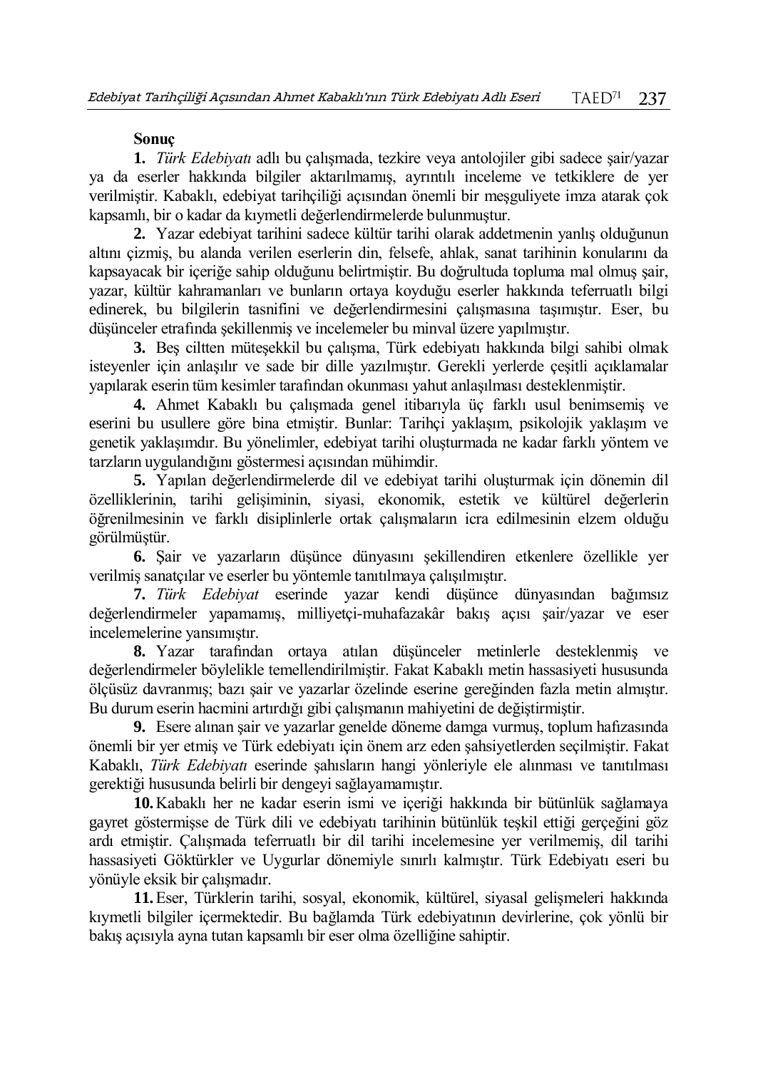## **Sonuç**

**1.** *Türk Edebiyatı* adlı bu çalışmada, tezkire veya antolojiler gibi sadece şair/yazar ya da eserler hakkında bilgiler aktarılmamış, ayrıntılı inceleme ve tetkiklere de yer verilmiştir. Kabaklı, edebiyat tarihçiliği açısından önemli bir meşguliyete imza atarak çok kapsamlı, bir o kadar da kıymetli değerlendirmelerde bulunmuştur.

**2.** Yazar edebiyat tarihini sadece kültür tarihi olarak addetmenin yanlış olduğunun altını çizmiş, bu alanda verilen eserlerin din, felsefe, ahlak, sanat tarihinin konularını da kapsayacak bir içeriğe sahip olduğunu belirtmiştir. Bu doğrultuda topluma mal olmuş şair, yazar, kültür kahramanları ve bunların ortaya koyduğu eserler hakkında teferruatlı bilgi edinerek, bu bilgilerin tasnifini ve değerlendirmesini çalışmasına taşımıştır. Eser, bu düşünceler etrafında şekillenmiş ve incelemeler bu minval üzere yapılmıştır.

**3.** Beş ciltten müteşekkil bu çalışma, Türk edebiyatı hakkında bilgi sahibi olmak isteyenler için anlaşılır ve sade bir dille yazılmıştır. Gerekli yerlerde çeşitli açıklamalar yapılarak eserin tüm kesimler tarafından okunması yahut anlaşılması desteklenmiştir.

**4.** Ahmet Kabaklı bu çalışmada genel itibarıyla üç farklı usul benimsemiş ve eserini bu usullere göre bina etmiştir. Bunlar: Tarihçi yaklaşım, psikolojik yaklaşım ve genetik yaklaşımdır. Bu yönelimler, edebiyat tarihi oluşturmada ne kadar farklı yöntem ve tarzların uygulandığını göstermesi açısından mühimdir.

**5.** Yapılan değerlendirmelerde dil ve edebiyat tarihi oluşturmak için dönemin dil özelliklerinin, tarihi gelişiminin, siyasi, ekonomik, estetik ve kültürel değerlerin öğrenilmesinin ve farklı disiplinlerle ortak çalışmaların icra edilmesinin elzem olduğu görülmüştür.

**6.** Şair ve yazarların düşünce dünyasını şekillendiren etkenlere özellikle yer verilmiş sanatçılar ve eserler bu yöntemle tanıtılmaya çalışılmıştır.

**7.** *Türk Edebiyat* eserinde yazar kendi düşünce dünyasından bağımsız değerlendirmeler yapamamış, milliyetçi-muhafazakâr bakış açısı şair/yazar ve eser incelemelerine yansımıştır.

**8.** Yazar tarafından ortaya atılan düşünceler metinlerle desteklenmiş ve değerlendirmeler böylelikle temellendirilmiştir. Fakat Kabaklı metin hassasiyeti hususunda ölçüsüz davranmış; bazı şair ve yazarlar özelinde eserine gereğinden fazla metin almıştır. Bu durum eserin hacmini artırdığı gibi çalışmanın mahiyetini de değiştirmiştir.

**9.** Esere alınan şair ve yazarlar genelde döneme damga vurmuş, toplum hafızasında önemli bir yer etmiş ve Türk edebiyatı için önem arz eden şahsiyetlerden seçilmiştir. Fakat Kabaklı, *Türk Edebiyatı* eserinde şahısların hangi yönleriyle ele alınması ve tanıtılması gerektiği hususunda belirli bir dengeyi sağlayamamıştır.

**10.**Kabaklı her ne kadar eserin ismi ve içeriği hakkında bir bütünlük sağlamaya gayret göstermişse de Türk dili ve edebiyatı tarihinin bütünlük teşkil ettiği gerçeğini göz ardı etmiştir. Çalışmada teferruatlı bir dil tarihi incelemesine yer verilmemiş, dil tarihi hassasiyeti Göktürkler ve Uygurlar dönemiyle sınırlı kalmıştır. Türk Edebiyatı eseri bu yönüyle eksik bir çalışmadır.

**11.**Eser, Türklerin tarihi, sosyal, ekonomik, kültürel, siyasal gelişmeleri hakkında kıymetli bilgiler içermektedir. Bu bağlamda Türk edebiyatının devirlerine, çok yönlü bir bakış açısıyla ayna tutan kapsamlı bir eser olma özelliğine sahiptir.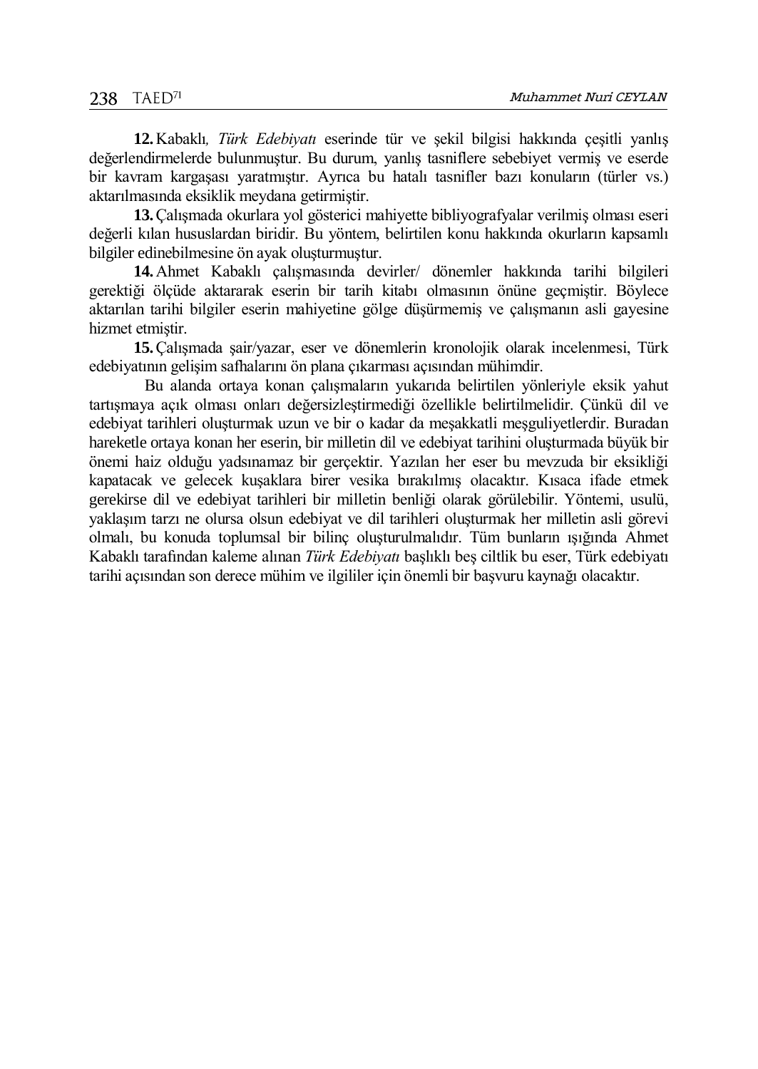**12.**Kabaklı*, Türk Edebiyatı* eserinde tür ve şekil bilgisi hakkında çeşitli yanlış değerlendirmelerde bulunmuştur. Bu durum, yanlış tasniflere sebebiyet vermiş ve eserde bir kavram kargaşası yaratmıştır. Ayrıca bu hatalı tasnifler bazı konuların (türler vs.) aktarılmasında eksiklik meydana getirmiştir.

**13.**Çalışmada okurlara yol gösterici mahiyette bibliyografyalar verilmiş olması eseri değerli kılan hususlardan biridir. Bu yöntem, belirtilen konu hakkında okurların kapsamlı bilgiler edinebilmesine ön ayak oluşturmuştur.

**14.**Ahmet Kabaklı çalışmasında devirler/ dönemler hakkında tarihi bilgileri gerektiği ölçüde aktararak eserin bir tarih kitabı olmasının önüne geçmiştir. Böylece aktarılan tarihi bilgiler eserin mahiyetine gölge düşürmemiş ve çalışmanın asli gayesine hizmet etmiştir.

**15.**Çalışmada şair/yazar, eser ve dönemlerin kronolojik olarak incelenmesi, Türk edebiyatının gelişim safhalarını ön plana çıkarması açısından mühimdir.

Bu alanda ortaya konan çalışmaların yukarıda belirtilen yönleriyle eksik yahut tartışmaya açık olması onları değersizleştirmediği özellikle belirtilmelidir. Çünkü dil ve edebiyat tarihleri oluşturmak uzun ve bir o kadar da meşakkatli meşguliyetlerdir. Buradan hareketle ortaya konan her eserin, bir milletin dil ve edebiyat tarihini oluşturmada büyük bir önemi haiz olduğu yadsınamaz bir gerçektir. Yazılan her eser bu mevzuda bir eksikliği kapatacak ve gelecek kuşaklara birer vesika bırakılmış olacaktır. Kısaca ifade etmek gerekirse dil ve edebiyat tarihleri bir milletin benliği olarak görülebilir. Yöntemi, usulü, yaklaşım tarzı ne olursa olsun edebiyat ve dil tarihleri oluşturmak her milletin asli görevi olmalı, bu konuda toplumsal bir bilinç oluşturulmalıdır. Tüm bunların ışığında Ahmet Kabaklı tarafından kaleme alınan *Türk Edebiyatı* başlıklı beş ciltlik bu eser, Türk edebiyatı tarihi açısından son derece mühim ve ilgililer için önemli bir başvuru kaynağı olacaktır.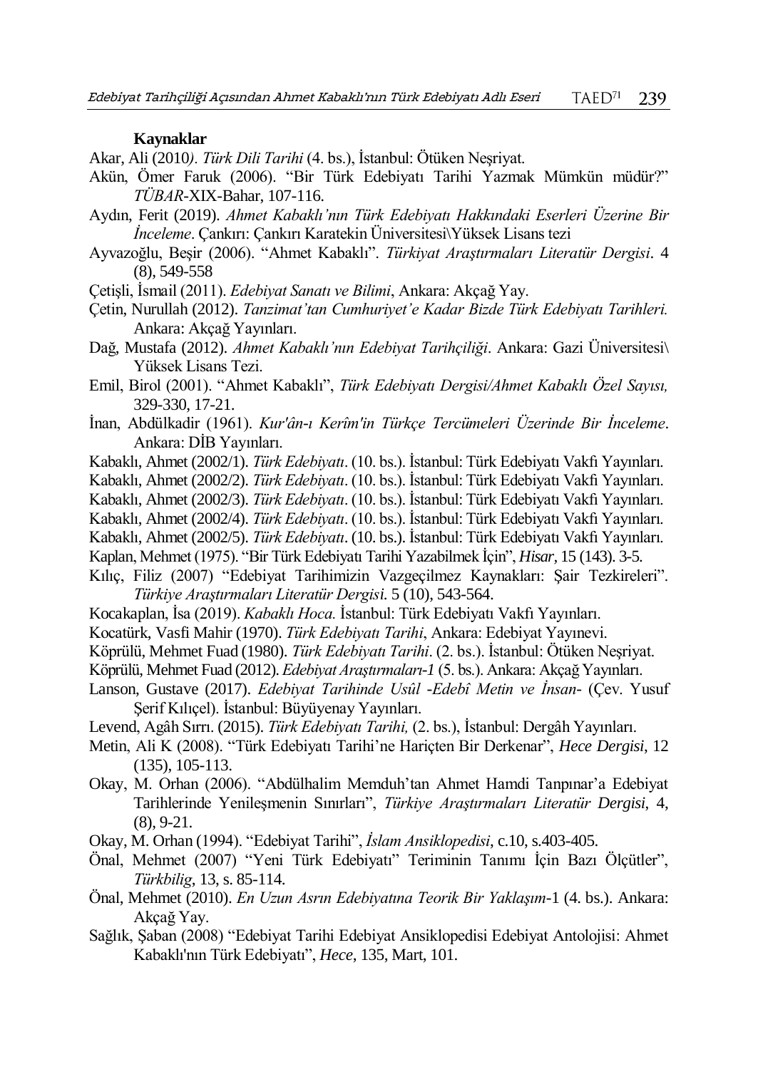### **Kaynaklar**

Akar, Ali (2010*). Türk Dili Tarihi* (4. bs.), İstanbul: Ötüken Neşriyat.

- Akün, Ömer Faruk (2006). "Bir Türk Edebiyatı Tarihi Yazmak Mümkün müdür?" *TÜBAR*-XIX-Bahar, 107-116.
- Aydın, Ferit (2019). *Ahmet Kabaklı'nın Türk Edebiyatı Hakkındaki Eserleri Üzerine Bir İnceleme*. Çankırı: Çankırı Karatekin Üniversitesi\Yüksek Lisans tezi
- Ayvazoğlu, Beşir (2006). "Ahmet Kabaklı". *Türkiyat Araştırmaları Literatür Dergisi*. 4 (8), 549-558
- Çetişli, İsmail (2011). *Edebiyat Sanatı ve Bilimi*, Ankara: Akçağ Yay.
- Çetin, Nurullah (2012). *Tanzimat'tan Cumhuriyet'e Kadar Bizde Türk Edebiyatı Tarihleri.*  Ankara: Akçağ Yayınları.
- Dağ, Mustafa (2012). *Ahmet Kabaklı'nın Edebiyat Tarihçiliği*. Ankara: Gazi Üniversitesi\ Yüksek Lisans Tezi.
- Emil, Birol (2001). "Ahmet Kabaklı", *Türk Edebiyatı Dergisi/Ahmet Kabaklı Özel Sayısı,* 329-330, 17-21.
- İnan, Abdülkadir (1961). *Kur'ân-ı Kerîm'in Türkçe Tercümeleri Üzerinde Bir İnceleme*. Ankara: DİB Yayınları.
- Kabaklı, Ahmet (2002/1). *Türk Edebiyatı*. (10. bs.). İstanbul: Türk Edebiyatı Vakfı Yayınları.
- Kabaklı, Ahmet (2002/2). *Türk Edebiyatı*. (10. bs.). İstanbul: Türk Edebiyatı Vakfı Yayınları.
- Kabaklı, Ahmet (2002/3). *Türk Edebiyatı*. (10. bs.). İstanbul: Türk Edebiyatı Vakfı Yayınları.
- Kabaklı, Ahmet (2002/4). *Türk Edebiyatı*. (10. bs.). İstanbul: Türk Edebiyatı Vakfı Yayınları.
- Kabaklı, Ahmet (2002/5). *Türk Edebiyatı*. (10. bs.). İstanbul: Türk Edebiyatı Vakfı Yayınları.
- Kaplan, Mehmet (1975). "Bir Türk Edebiyatı Tarihi Yazabilmek İçin", *Hisar,* 15 (143). 3-5.
- Kılıç, Filiz (2007) "Edebiyat Tarihimizin Vazgeçilmez Kaynakları: Şair Tezkireleri". *Türkiye Araştırmaları Literatür Dergisi.* 5 (10), 543-564.
- Kocakaplan, İsa (2019). *Kabaklı Hoca.* İstanbul: Türk Edebiyatı Vakfı Yayınları.
- Kocatürk, Vasfi Mahir (1970). *Türk Edebiyatı Tarihi*, Ankara: Edebiyat Yayınevi.
- Köprülü, Mehmet Fuad (1980). *Türk Edebiyatı Tarihi*. (2. bs.). İstanbul: Ötüken Neşriyat.
- Köprülü, Mehmet Fuad (2012). *Edebiyat Araştırmaları-1* (5. bs.). Ankara: Akçağ Yayınları.
- Lanson, Gustave (2017). *Edebiyat Tarihinde Usûl -Edebî Metin ve İnsan* (Çev. Yusuf Şerif Kılıçel). İstanbul: Büyüyenay Yayınları.
- Levend, Agâh Sırrı. (2015). *Türk Edebiyatı Tarihi,* (2. bs.), İstanbul: Dergâh Yayınları.
- Metin, Ali K (2008). "Türk Edebiyatı Tarihi'ne Hariçten Bir Derkenar", *Hece Dergisi*, 12 (135), 105-113.
- Okay, M. Orhan (2006). "Abdülhalim Memduh'tan Ahmet Hamdi Tanpınar'a Edebiyat Tarihlerinde Yenileşmenin Sınırları", *Türkiye Araştırmaları Literatür Dergisi*, 4, (8), 9-21.
- Okay, M. Orhan (1994). "Edebiyat Tarihi", *İslam Ansiklopedisi*, c.10, s.403-405.
- Önal, Mehmet (2007) "Yeni Türk Edebiyatı" Teriminin Tanımı İçin Bazı Ölçütler", *Türkbilig*, 13, s. 85-114.
- Önal, Mehmet (2010). *En Uzun Asrın Edebiyatına Teorik Bir Yaklaşım*-1 (4. bs.). Ankara: Akçağ Yay.
- Sağlık, Şaban (2008) "Edebiyat Tarihi Edebiyat Ansiklopedisi Edebiyat Antolojisi: Ahmet Kabaklı'nın Türk Edebiyatı", *Hece*, 135, Mart, 101.